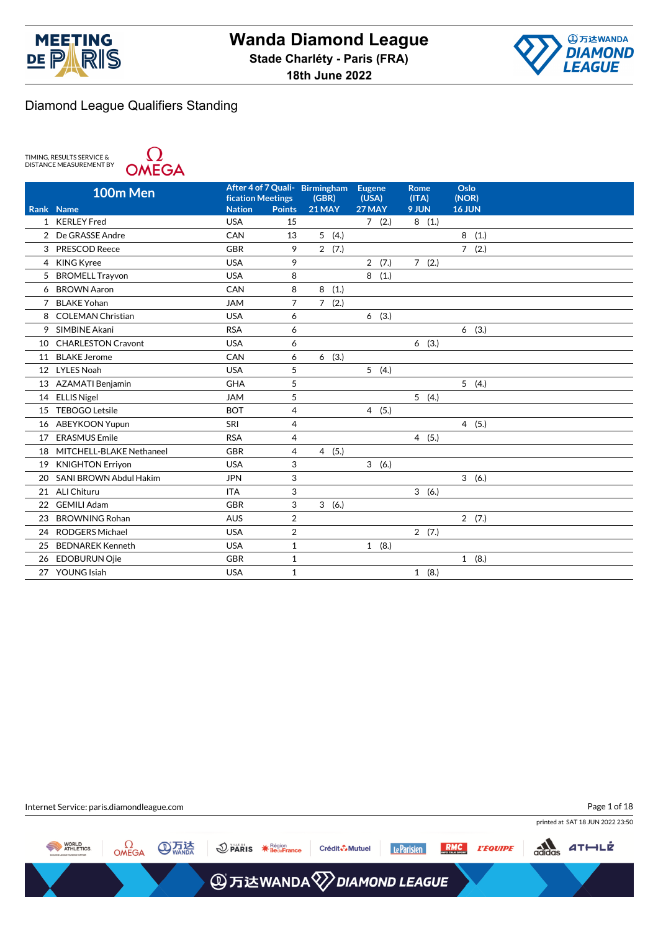



TIMING, RESULTS SERVICE &<br>DISTANCE MEASUREMENT BY



| <b>Nation</b><br>9 JUN<br>16 JUN<br>21 MAY<br>27 MAY<br>Rank<br><b>Name</b><br><b>Points</b><br><b>USA</b><br>1 KERLEY Fred<br>7(2.)<br>8(1.)<br>15<br>5(4.)<br>8<br>(1.)<br>De GRASSE Andre<br>CAN<br>13<br>$\overline{2}$<br>2(7.)<br><b>PRESCOD Reece</b><br><b>GBR</b><br>9<br>7(2.)<br>3<br><b>USA</b><br>9<br>2(7.)<br>7(2.)<br><b>KING Kyree</b><br>4<br>8(1.)<br>5 BROMELL Trayvon<br><b>USA</b><br>8<br>8(1.)<br><b>BROWN Aaron</b><br>CAN<br>8<br>6<br><b>BLAKE Yohan</b><br><b>JAM</b><br>7<br>7(2.)<br>7<br>6(3.)<br><b>COLEMAN Christian</b><br><b>USA</b><br>6<br>8<br>SIMBINE Akani<br><b>RSA</b><br>6(3.)<br>9<br>6<br><b>CHARLESTON Cravont</b><br><b>USA</b><br>6<br>6(3.)<br>10<br><b>BLAKE Jerome</b><br>CAN<br>(3.)<br>6<br>6<br>11<br>5<br>5(4.)<br><b>LYLES Noah</b><br><b>USA</b><br>12<br><b>GHA</b><br>5<br>5(4.)<br><b>AZAMATI Benjamin</b><br>13<br>5<br>5(4.)<br><b>JAM</b><br><b>ELLIS Nigel</b><br>14<br><b>TEBOGO Letsile</b><br><b>BOT</b><br>4(5.)<br>4<br>15<br>4<br>SRI<br>4(5.)<br><b>ABEYKOON Yupun</b><br>16<br><b>RSA</b><br><b>ERASMUS Emile</b><br>4(5.)<br>4<br>17<br>MITCHELL-BLAKE Nethaneel<br><b>GBR</b><br>4<br>4(5.)<br>18<br>3<br>3(6.)<br><b>KNIGHTON Erriyon</b><br><b>USA</b><br>19<br>3<br>SANI BROWN Abdul Hakim<br>3(6.)<br>20<br><b>JPN</b><br>3<br>3(6.)<br><b>ALI Chituru</b><br><b>ITA</b><br>21<br>3<br><b>GEMILI Adam</b><br><b>GBR</b><br>3(6.)<br>22<br>$\overline{2}$<br><b>BROWNING Rohan</b><br><b>AUS</b><br>2(7.)<br>23<br>$\overline{2}$<br><b>RODGERS Michael</b><br><b>USA</b><br>2(7.)<br>24<br><b>BEDNAREK Kenneth</b><br><b>USA</b><br>$\mathbf{1}$<br>1(8.)<br>25 | 100m Men | <b>fication Meetings</b> | After 4 of 7 Quali- Birmingham<br>(GBR) | <b>Eugene</b><br>(USA) | <b>Rome</b><br>(ITA) | Oslo<br>(NOR) |
|-----------------------------------------------------------------------------------------------------------------------------------------------------------------------------------------------------------------------------------------------------------------------------------------------------------------------------------------------------------------------------------------------------------------------------------------------------------------------------------------------------------------------------------------------------------------------------------------------------------------------------------------------------------------------------------------------------------------------------------------------------------------------------------------------------------------------------------------------------------------------------------------------------------------------------------------------------------------------------------------------------------------------------------------------------------------------------------------------------------------------------------------------------------------------------------------------------------------------------------------------------------------------------------------------------------------------------------------------------------------------------------------------------------------------------------------------------------------------------------------------------------------------------------------------------------------------------------------------------------------------------------------------|----------|--------------------------|-----------------------------------------|------------------------|----------------------|---------------|
|                                                                                                                                                                                                                                                                                                                                                                                                                                                                                                                                                                                                                                                                                                                                                                                                                                                                                                                                                                                                                                                                                                                                                                                                                                                                                                                                                                                                                                                                                                                                                                                                                                               |          |                          |                                         |                        |                      |               |
|                                                                                                                                                                                                                                                                                                                                                                                                                                                                                                                                                                                                                                                                                                                                                                                                                                                                                                                                                                                                                                                                                                                                                                                                                                                                                                                                                                                                                                                                                                                                                                                                                                               |          |                          |                                         |                        |                      |               |
|                                                                                                                                                                                                                                                                                                                                                                                                                                                                                                                                                                                                                                                                                                                                                                                                                                                                                                                                                                                                                                                                                                                                                                                                                                                                                                                                                                                                                                                                                                                                                                                                                                               |          |                          |                                         |                        |                      |               |
|                                                                                                                                                                                                                                                                                                                                                                                                                                                                                                                                                                                                                                                                                                                                                                                                                                                                                                                                                                                                                                                                                                                                                                                                                                                                                                                                                                                                                                                                                                                                                                                                                                               |          |                          |                                         |                        |                      |               |
|                                                                                                                                                                                                                                                                                                                                                                                                                                                                                                                                                                                                                                                                                                                                                                                                                                                                                                                                                                                                                                                                                                                                                                                                                                                                                                                                                                                                                                                                                                                                                                                                                                               |          |                          |                                         |                        |                      |               |
|                                                                                                                                                                                                                                                                                                                                                                                                                                                                                                                                                                                                                                                                                                                                                                                                                                                                                                                                                                                                                                                                                                                                                                                                                                                                                                                                                                                                                                                                                                                                                                                                                                               |          |                          |                                         |                        |                      |               |
|                                                                                                                                                                                                                                                                                                                                                                                                                                                                                                                                                                                                                                                                                                                                                                                                                                                                                                                                                                                                                                                                                                                                                                                                                                                                                                                                                                                                                                                                                                                                                                                                                                               |          |                          |                                         |                        |                      |               |
|                                                                                                                                                                                                                                                                                                                                                                                                                                                                                                                                                                                                                                                                                                                                                                                                                                                                                                                                                                                                                                                                                                                                                                                                                                                                                                                                                                                                                                                                                                                                                                                                                                               |          |                          |                                         |                        |                      |               |
|                                                                                                                                                                                                                                                                                                                                                                                                                                                                                                                                                                                                                                                                                                                                                                                                                                                                                                                                                                                                                                                                                                                                                                                                                                                                                                                                                                                                                                                                                                                                                                                                                                               |          |                          |                                         |                        |                      |               |
|                                                                                                                                                                                                                                                                                                                                                                                                                                                                                                                                                                                                                                                                                                                                                                                                                                                                                                                                                                                                                                                                                                                                                                                                                                                                                                                                                                                                                                                                                                                                                                                                                                               |          |                          |                                         |                        |                      |               |
|                                                                                                                                                                                                                                                                                                                                                                                                                                                                                                                                                                                                                                                                                                                                                                                                                                                                                                                                                                                                                                                                                                                                                                                                                                                                                                                                                                                                                                                                                                                                                                                                                                               |          |                          |                                         |                        |                      |               |
|                                                                                                                                                                                                                                                                                                                                                                                                                                                                                                                                                                                                                                                                                                                                                                                                                                                                                                                                                                                                                                                                                                                                                                                                                                                                                                                                                                                                                                                                                                                                                                                                                                               |          |                          |                                         |                        |                      |               |
|                                                                                                                                                                                                                                                                                                                                                                                                                                                                                                                                                                                                                                                                                                                                                                                                                                                                                                                                                                                                                                                                                                                                                                                                                                                                                                                                                                                                                                                                                                                                                                                                                                               |          |                          |                                         |                        |                      |               |
|                                                                                                                                                                                                                                                                                                                                                                                                                                                                                                                                                                                                                                                                                                                                                                                                                                                                                                                                                                                                                                                                                                                                                                                                                                                                                                                                                                                                                                                                                                                                                                                                                                               |          |                          |                                         |                        |                      |               |
|                                                                                                                                                                                                                                                                                                                                                                                                                                                                                                                                                                                                                                                                                                                                                                                                                                                                                                                                                                                                                                                                                                                                                                                                                                                                                                                                                                                                                                                                                                                                                                                                                                               |          |                          |                                         |                        |                      |               |
|                                                                                                                                                                                                                                                                                                                                                                                                                                                                                                                                                                                                                                                                                                                                                                                                                                                                                                                                                                                                                                                                                                                                                                                                                                                                                                                                                                                                                                                                                                                                                                                                                                               |          |                          |                                         |                        |                      |               |
|                                                                                                                                                                                                                                                                                                                                                                                                                                                                                                                                                                                                                                                                                                                                                                                                                                                                                                                                                                                                                                                                                                                                                                                                                                                                                                                                                                                                                                                                                                                                                                                                                                               |          |                          |                                         |                        |                      |               |
|                                                                                                                                                                                                                                                                                                                                                                                                                                                                                                                                                                                                                                                                                                                                                                                                                                                                                                                                                                                                                                                                                                                                                                                                                                                                                                                                                                                                                                                                                                                                                                                                                                               |          |                          |                                         |                        |                      |               |
|                                                                                                                                                                                                                                                                                                                                                                                                                                                                                                                                                                                                                                                                                                                                                                                                                                                                                                                                                                                                                                                                                                                                                                                                                                                                                                                                                                                                                                                                                                                                                                                                                                               |          |                          |                                         |                        |                      |               |
|                                                                                                                                                                                                                                                                                                                                                                                                                                                                                                                                                                                                                                                                                                                                                                                                                                                                                                                                                                                                                                                                                                                                                                                                                                                                                                                                                                                                                                                                                                                                                                                                                                               |          |                          |                                         |                        |                      |               |
|                                                                                                                                                                                                                                                                                                                                                                                                                                                                                                                                                                                                                                                                                                                                                                                                                                                                                                                                                                                                                                                                                                                                                                                                                                                                                                                                                                                                                                                                                                                                                                                                                                               |          |                          |                                         |                        |                      |               |
|                                                                                                                                                                                                                                                                                                                                                                                                                                                                                                                                                                                                                                                                                                                                                                                                                                                                                                                                                                                                                                                                                                                                                                                                                                                                                                                                                                                                                                                                                                                                                                                                                                               |          |                          |                                         |                        |                      |               |
|                                                                                                                                                                                                                                                                                                                                                                                                                                                                                                                                                                                                                                                                                                                                                                                                                                                                                                                                                                                                                                                                                                                                                                                                                                                                                                                                                                                                                                                                                                                                                                                                                                               |          |                          |                                         |                        |                      |               |
|                                                                                                                                                                                                                                                                                                                                                                                                                                                                                                                                                                                                                                                                                                                                                                                                                                                                                                                                                                                                                                                                                                                                                                                                                                                                                                                                                                                                                                                                                                                                                                                                                                               |          |                          |                                         |                        |                      |               |
|                                                                                                                                                                                                                                                                                                                                                                                                                                                                                                                                                                                                                                                                                                                                                                                                                                                                                                                                                                                                                                                                                                                                                                                                                                                                                                                                                                                                                                                                                                                                                                                                                                               |          |                          |                                         |                        |                      |               |
|                                                                                                                                                                                                                                                                                                                                                                                                                                                                                                                                                                                                                                                                                                                                                                                                                                                                                                                                                                                                                                                                                                                                                                                                                                                                                                                                                                                                                                                                                                                                                                                                                                               |          |                          |                                         |                        |                      |               |
| <b>EDOBURUN Ojie</b><br><b>GBR</b><br>$\mathbf{1}$<br>1(8.)<br>26                                                                                                                                                                                                                                                                                                                                                                                                                                                                                                                                                                                                                                                                                                                                                                                                                                                                                                                                                                                                                                                                                                                                                                                                                                                                                                                                                                                                                                                                                                                                                                             |          |                          |                                         |                        |                      |               |
| 27 YOUNG Isiah<br>$\mathbf{1}$<br>1(8.)<br><b>USA</b>                                                                                                                                                                                                                                                                                                                                                                                                                                                                                                                                                                                                                                                                                                                                                                                                                                                                                                                                                                                                                                                                                                                                                                                                                                                                                                                                                                                                                                                                                                                                                                                         |          |                          |                                         |                        |                      |               |

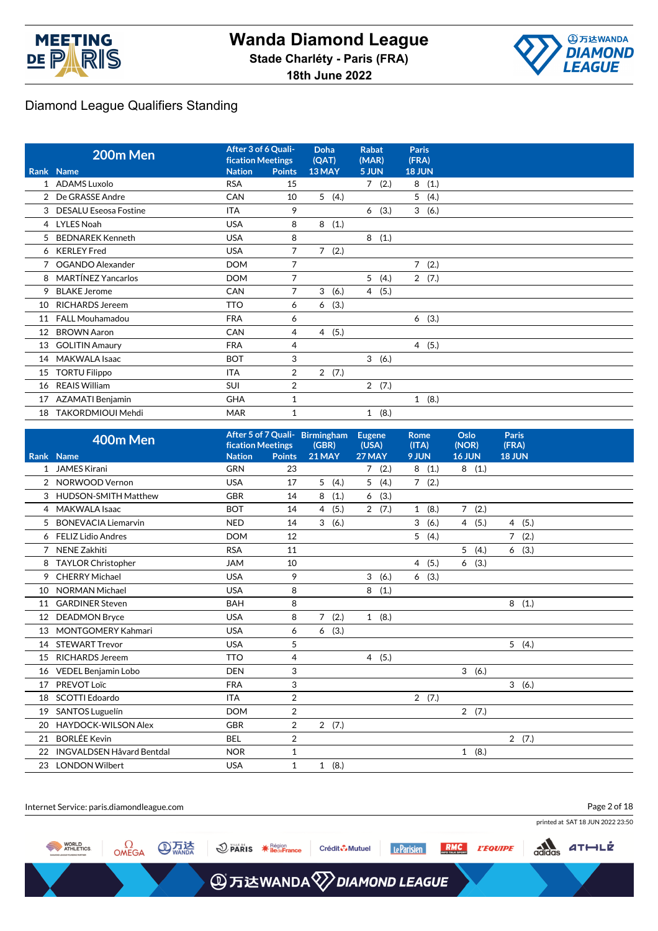



|    | 200m Men                     | After 3 of 6 Quali-<br><b>fication Meetings</b> |                | Doha<br>(QAT)       | <b>Rabat</b><br>(MAR)  | <b>Paris</b><br>(FRA) |
|----|------------------------------|-------------------------------------------------|----------------|---------------------|------------------------|-----------------------|
|    | Rank Name                    | <b>Nation</b>                                   | <b>Points</b>  | 13 MAY              | 5 JUN                  | <b>18 JUN</b>         |
|    | 1 ADAMS Luxolo               | <b>RSA</b>                                      | 15             |                     | 7(2.)                  | 8(1.)                 |
|    | 2 De GRASSE Andre            | <b>CAN</b>                                      | 10             | 5(4.)               |                        | 5(4.)                 |
| 3  | <b>DESALU Eseosa Fostine</b> | <b>ITA</b>                                      | 9              |                     | (3.)<br>6              | 3(6.)                 |
| 4  | <b>LYLES Noah</b>            | <b>USA</b>                                      | 8              | (1.)<br>8           |                        |                       |
| 5  | <b>BEDNAREK Kenneth</b>      | <b>USA</b>                                      | 8              |                     | 8<br>(1.)              |                       |
| 6  | <b>KERLEY</b> Fred           | <b>USA</b>                                      | 7              | $7^{\circ}$<br>(2.) |                        |                       |
|    | OGANDO Alexander             | <b>DOM</b>                                      | 7              |                     |                        | 7(2.)                 |
| 8  | <b>MARTÍNEZ Yancarlos</b>    | <b>DOM</b>                                      | $\overline{7}$ |                     | 5<br>(4.)              | 2(7.)                 |
| 9  | <b>BLAKE Jerome</b>          | <b>CAN</b>                                      | 7              | 3<br>(6.)           | 4 (5.)                 |                       |
| 10 | <b>RICHARDS Jereem</b>       | <b>TTO</b>                                      | 6              | (3.)<br>6           |                        |                       |
| 11 | <b>FALL Mouhamadou</b>       | <b>FRA</b>                                      | 6              |                     |                        | 6(3.)                 |
| 12 | <b>BROWN Aaron</b>           | CAN                                             | 4              | 4(5.)               |                        |                       |
| 13 | <b>GOLITIN Amaury</b>        | <b>FRA</b>                                      | 4              |                     |                        | 4(5.)                 |
| 14 | MAKWALA Isaac                | <b>BOT</b>                                      | 3              |                     | 3(6.)                  |                       |
| 15 | <b>TORTU Filippo</b>         | <b>ITA</b>                                      | $\overline{2}$ | 2(7.)               |                        |                       |
| 16 | <b>REAIS William</b>         | <b>SUI</b>                                      | 2              |                     | $\overline{2}$<br>(7.) |                       |
| 17 | <b>AZAMATI Benjamin</b>      | <b>GHA</b>                                      | 1              |                     |                        | 1(8.)                 |
| 18 | TAKORDMIOUI Mehdi            | <b>MAR</b>                                      | 1              |                     | (8.)<br>$\mathbf{1}$   |                       |

|                | 400m Men                         | After 5 of 7 Quali- Birmingham<br><b>fication Meetings</b> |                | (GBR)                  |  | <b>Eugene</b><br><b>Rome</b><br>(USA)<br>(ITA) |           | Oslo<br>(NOR)       | <b>Paris</b><br>(FRA) |
|----------------|----------------------------------|------------------------------------------------------------|----------------|------------------------|--|------------------------------------------------|-----------|---------------------|-----------------------|
|                | Rank Name                        | <b>Nation</b>                                              | <b>Points</b>  | 21 MAY                 |  | 27 MAY                                         | 9 JUN     | <b>16 JUN</b>       | <b>18 JUN</b>         |
|                | 1 JAMES Kirani                   | <b>GRN</b>                                                 | 23             |                        |  | (2.)<br>7                                      | 8<br>(1.) | 8(1.)               |                       |
|                | 2 NORWOOD Vernon                 | <b>USA</b>                                                 | 17             | 5(4.)                  |  | 5 <sup>5</sup><br>(4.)                         | 7(2.)     |                     |                       |
|                | 3 HUDSON-SMITH Matthew           | <b>GBR</b>                                                 | 14             | 8<br>(1.)              |  | (3.)<br>6                                      |           |                     |                       |
| $\overline{4}$ | <b>MAKWALA Isaac</b>             | <b>BOT</b>                                                 | 14             | (5.)<br>$\overline{4}$ |  | 2(7.)                                          | 1(8.)     | $7^{\circ}$<br>(2.) |                       |
| 5              | <b>BONEVACIA Liemarvin</b>       | <b>NED</b>                                                 | 14             | 3<br>(6.)              |  |                                                | 3<br>(6.) | (5.)<br>4           | 4(5.)                 |
|                | 6 FELIZ Lidio Andres             | <b>DOM</b>                                                 | 12             |                        |  |                                                | (4.)<br>5 |                     | $7^{\circ}$<br>(2.)   |
|                | <b>NENE Zakhiti</b>              | <b>RSA</b>                                                 | 11             |                        |  |                                                |           | 5<br>(4.)           | (3.)<br>6             |
|                | 8 TAYLOR Christopher             | <b>JAM</b>                                                 | 10             |                        |  |                                                | 4(5.)     | (3.)<br>6           |                       |
| 9              | <b>CHERRY Michael</b>            | <b>USA</b>                                                 | 9              |                        |  | 3<br>(6.)                                      | (3.)<br>6 |                     |                       |
| 10             | <b>NORMAN Michael</b>            | <b>USA</b>                                                 | 8              |                        |  | 8<br>(1.)                                      |           |                     |                       |
| 11             | <b>GARDINER Steven</b>           | <b>BAH</b>                                                 | 8              |                        |  |                                                |           |                     | 8<br>(1.)             |
| 12             | <b>DEADMON Bryce</b>             | <b>USA</b>                                                 | 8              | $\overline{7}$<br>(2.) |  | 1(8.)                                          |           |                     |                       |
| 13             | <b>MONTGOMERY Kahmari</b>        | <b>USA</b>                                                 | 6              | (3.)<br>6              |  |                                                |           |                     |                       |
| 14             | <b>STEWART Trevor</b>            | <b>USA</b>                                                 | 5              |                        |  |                                                |           |                     | 5(4.)                 |
| 15             | <b>RICHARDS Jereem</b>           | <b>TTO</b>                                                 | 4              |                        |  | 4(5.)                                          |           |                     |                       |
| 16             | <b>VEDEL Benjamin Lobo</b>       | <b>DEN</b>                                                 | 3              |                        |  |                                                |           | 3<br>(6.)           |                       |
| 17             | PREVOT Loïc                      | <b>FRA</b>                                                 | 3              |                        |  |                                                |           |                     | 3(6.)                 |
| 18             | SCOTTI Edoardo                   | <b>ITA</b>                                                 | $\overline{2}$ |                        |  |                                                | 2(7.)     |                     |                       |
| 19             | SANTOS Luguelín                  | <b>DOM</b>                                                 | $\overline{2}$ |                        |  |                                                |           | 2(7.)               |                       |
| 20             | <b>HAYDOCK-WILSON Alex</b>       | <b>GBR</b>                                                 | $\overline{2}$ | 2(7.)                  |  |                                                |           |                     |                       |
| 21             | <b>BORLÉE Kevin</b>              | <b>BEL</b>                                                 | 2              |                        |  |                                                |           |                     | 2(7.)                 |
| 22             | <b>INGVALDSEN Håvard Bentdal</b> | <b>NOR</b>                                                 | 1              |                        |  |                                                |           | 1(8.)               |                       |
| 23             | <b>LONDON Wilbert</b>            | <b>USA</b>                                                 | 1              | 1(8.)                  |  |                                                |           |                     |                       |

| Internet Service: paris.diamondleague.com               |                                                                            | Page 2 of 18                                                              |
|---------------------------------------------------------|----------------------------------------------------------------------------|---------------------------------------------------------------------------|
|                                                         |                                                                            | printed at SAT 18 JUN 2022 23:50                                          |
| <b>WORLD</b><br>ATHLETICS<br><b>⑧炁法</b><br>$M$ $\Omega$ | Le Parisien<br>$\bigcirc$ PARIS $*$ $\frac{1}{2}$ PARIS<br>Crédit & Mutuel | $rac{1}{\sqrt{1-\frac{1}{c}}}\sqrt{1-\frac{1}{c}}$<br><b>RMC L'EQUIPE</b> |
|                                                         | <b>A</b> 万达WANDA 2 DIAMOND LEAGUE                                          |                                                                           |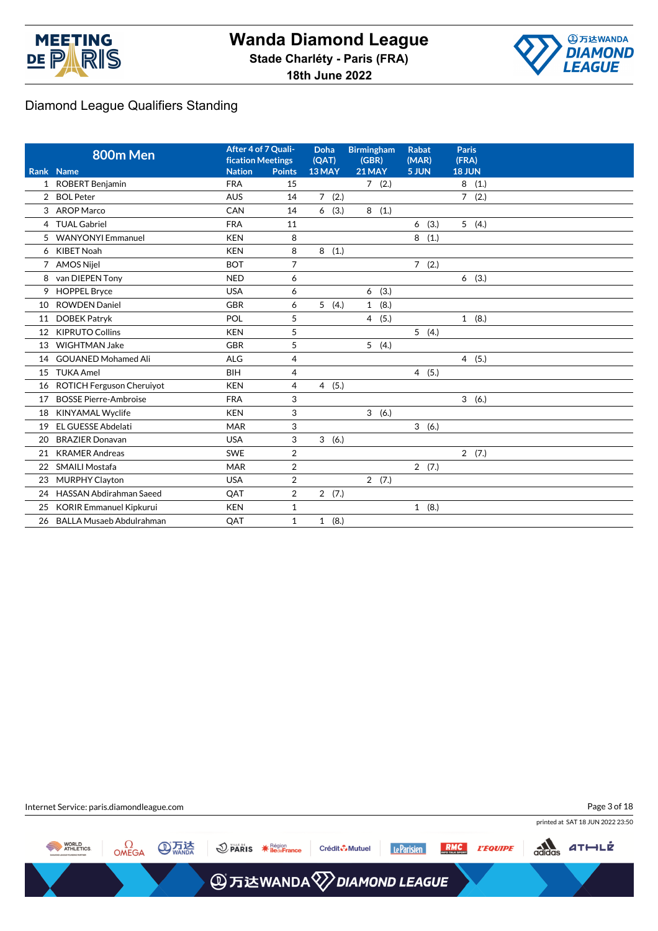



|                | 800m Men                        | After 4 of 7 Quali-<br><b>fication Meetings</b> |                | <b>Doha</b><br>(QAT) | <b>Birmingham</b><br>(GBR) | <b>Rabat</b><br>(MAR) | <b>Paris</b><br>(FRA)  |
|----------------|---------------------------------|-------------------------------------------------|----------------|----------------------|----------------------------|-----------------------|------------------------|
|                | Rank Name                       | <b>Nation</b>                                   | <b>Points</b>  | 13 MAY               | 21 MAY                     | 5 JUN                 | <b>18 JUN</b>          |
| $\mathbf{1}$   | <b>ROBERT Benjamin</b>          | <b>FRA</b>                                      | 15             |                      | 7(2.)                      |                       | 8<br>(1.)              |
| $\overline{2}$ | <b>BOL Peter</b>                | <b>AUS</b>                                      | 14             | 7(2.)                |                            |                       | (2.)<br>$\overline{7}$ |
| 3              | AROP Marco                      | CAN                                             | 14             | (3.)<br>6            | 8<br>(1.)                  |                       |                        |
| $\overline{4}$ | <b>TUAL Gabriel</b>             | <b>FRA</b>                                      | 11             |                      |                            | (3.)<br>6             | 5(4.)                  |
| 5              | <b>WANYONYI Emmanuel</b>        | <b>KEN</b>                                      | 8              |                      |                            | 8<br>(1.)             |                        |
| 6              | <b>KIBET Noah</b>               | <b>KEN</b>                                      | 8              | (1.)<br>8            |                            |                       |                        |
| 7              | <b>AMOS Nijel</b>               | <b>BOT</b>                                      | $\overline{7}$ |                      |                            | 7(2.)                 |                        |
| 8              | van DIEPEN Tony                 | <b>NED</b>                                      | 6              |                      |                            |                       | (3.)<br>6              |
| 9              | <b>HOPPEL Bryce</b>             | <b>USA</b>                                      | 6              |                      | (3.)<br>6                  |                       |                        |
| 10             | <b>ROWDEN Daniel</b>            | <b>GBR</b>                                      | 6              | 5(4.)                | (8.)<br>$\mathbf{1}$       |                       |                        |
| 11             | <b>DOBEK Patrvk</b>             | POL                                             | 5              |                      | (5.)<br>$\overline{4}$     |                       | 1(8.)                  |
| 12             | <b>KIPRUTO Collins</b>          | <b>KEN</b>                                      | 5              |                      |                            | 5(4.)                 |                        |
| 13             | <b>WIGHTMAN Jake</b>            | <b>GBR</b>                                      | 5              |                      | 5(4.)                      |                       |                        |
| 14             | <b>GOUANED Mohamed Ali</b>      | <b>ALG</b>                                      | 4              |                      |                            |                       | 4(5.)                  |
| 15             | <b>TUKA Amel</b>                | <b>BIH</b>                                      | 4              |                      |                            | 4(5.)                 |                        |
| 16             | ROTICH Ferguson Cheruiyot       | <b>KEN</b>                                      | $\overline{4}$ | 4(5.)                |                            |                       |                        |
| 17             | <b>BOSSE Pierre-Ambroise</b>    | <b>FRA</b>                                      | 3              |                      |                            |                       | 3(6.)                  |
| 18             | <b>KINYAMAL Wyclife</b>         | <b>KEN</b>                                      | 3              |                      | 3<br>(6.)                  |                       |                        |
| 19             | <b>EL GUESSE Abdelati</b>       | <b>MAR</b>                                      | 3              |                      |                            | 3(6.)                 |                        |
| 20             | <b>BRAZIER Donavan</b>          | <b>USA</b>                                      | 3              | 3(6.)                |                            |                       |                        |
| 21             | <b>KRAMER Andreas</b>           | <b>SWE</b>                                      | $\overline{2}$ |                      |                            |                       | 2(7.)                  |
| 22             | <b>SMAILI Mostafa</b>           | <b>MAR</b>                                      | 2              |                      |                            | 2(7.)                 |                        |
| 23             | <b>MURPHY Clayton</b>           | <b>USA</b>                                      | $\overline{2}$ |                      | 2(7.)                      |                       |                        |
| 24             | <b>HASSAN Abdirahman Saeed</b>  | QAT                                             | $\overline{2}$ | 2(7.)                |                            |                       |                        |
| 25             | <b>KORIR Emmanuel Kipkurui</b>  | <b>KEN</b>                                      | $\mathbf{1}$   |                      |                            | 1(8.)                 |                        |
| 26             | <b>BALLA Musaeb Abdulrahman</b> | QAT                                             | $\mathbf{1}$   | 1(8.)                |                            |                       |                        |

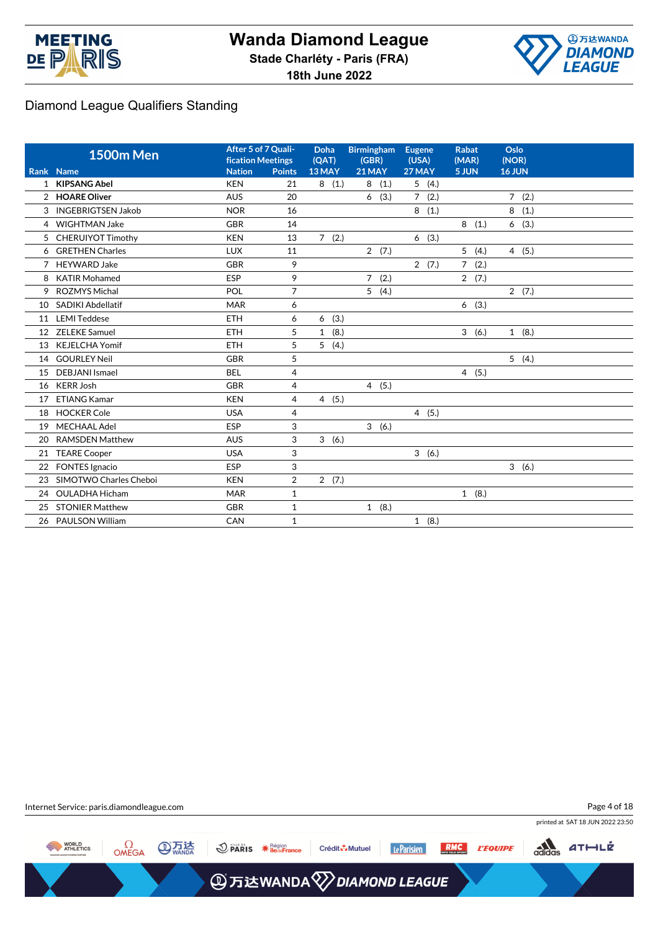



|                | <b>1500m Men</b>         | After 5 of 7 Quali-<br><b>fication Meetings</b> |                | <b>Doha</b><br>(QAT) | <b>Birmingham</b><br><b>Eugene</b><br>(GBR) |                     | <b>Rabat</b><br>(MAR)  | Oslo<br>(NOR) |
|----------------|--------------------------|-------------------------------------------------|----------------|----------------------|---------------------------------------------|---------------------|------------------------|---------------|
|                | Rank Name                | <b>Nation</b>                                   | <b>Points</b>  | 13 MAY               | <b>21 MAY</b>                               | 27 MAY              | 5 JUN                  | 16 JUN        |
|                | 1 KIPSANG Abel           | <b>KEN</b>                                      | 21             | 8<br>(1.)            | (1.)<br>8                                   | 5(4.)               |                        |               |
|                | 2 HOARE Oliver           | <b>AUS</b>                                      | 20             |                      | (3.)<br>6                                   | $7^{\circ}$<br>(2.) |                        | 7(2.)         |
|                | 3 INGEBRIGTSEN Jakob     | <b>NOR</b>                                      | 16             |                      |                                             | 8(1.)               |                        | 8<br>(1.)     |
|                | 4 WIGHTMAN Jake          | <b>GBR</b>                                      | 14             |                      |                                             |                     | 8(1.)                  | 6(3.)         |
| 5              | <b>CHERUIYOT Timothy</b> | <b>KEN</b>                                      | 13             | 7(2.)                |                                             | (3.)<br>6           |                        |               |
|                | 6 GRETHEN Charles        | <b>LUX</b>                                      | 11             |                      | 2(7.)                                       |                     | 5<br>(4.)              | 4(5.)         |
| $\overline{7}$ | <b>HEYWARD Jake</b>      | <b>GBR</b>                                      | 9              |                      |                                             | 2(7.)               | $\overline{7}$<br>(2.) |               |
| 8              | <b>KATIR Mohamed</b>     | <b>ESP</b>                                      | 9              |                      | $\overline{7}$<br>(2.)                      |                     | 2(7.)                  |               |
| 9              | <b>ROZMYS Michal</b>     | POL                                             | $\overline{7}$ |                      | 5(4.)                                       |                     |                        | 2(7.)         |
| 10             | <b>SADIKI Abdellatif</b> | <b>MAR</b>                                      | 6              |                      |                                             |                     | 6(3.)                  |               |
| 11             | <b>LEMI Teddese</b>      | <b>ETH</b>                                      | 6              | (3.)<br>6            |                                             |                     |                        |               |
| 12             | <b>ZELEKE Samuel</b>     | <b>ETH</b>                                      | 5              | (8.)<br>$\mathbf{1}$ |                                             |                     | 3<br>(6.)              | 1(8.)         |
| 13             | <b>KEJELCHA Yomif</b>    | <b>ETH</b>                                      | 5              | 5(4.)                |                                             |                     |                        |               |
| 14             | <b>GOURLEY Neil</b>      | <b>GBR</b>                                      | 5              |                      |                                             |                     |                        | 5(4.)         |
| 15             | <b>DEBJANI</b> Ismael    | <b>BEL</b>                                      | 4              |                      |                                             |                     | $\overline{4}$<br>(5.) |               |
| 16             | <b>KERR Josh</b>         | <b>GBR</b>                                      | 4              |                      | 4(5.)                                       |                     |                        |               |
| 17             | <b>ETIANG Kamar</b>      | <b>KEN</b>                                      | 4              | 4(5.)                |                                             |                     |                        |               |
| 18             | <b>HOCKER Cole</b>       | <b>USA</b>                                      | 4              |                      |                                             | 4(5.)               |                        |               |
| 19             | <b>MECHAAL Adel</b>      | <b>ESP</b>                                      | 3              |                      | 3(6.)                                       |                     |                        |               |
| 20             | <b>RAMSDEN Matthew</b>   | <b>AUS</b>                                      | 3              | 3(6.)                |                                             |                     |                        |               |
| 21             | <b>TEARE Cooper</b>      | <b>USA</b>                                      | 3              |                      |                                             | 3(6.)               |                        |               |
| 22             | <b>FONTES Ignacio</b>    | ESP                                             | 3              |                      |                                             |                     |                        | 3(6.)         |
| 23             | SIMOTWO Charles Cheboi   | <b>KEN</b>                                      | $\overline{2}$ | 2(7.)                |                                             |                     |                        |               |
| 24             | <b>OULADHA Hicham</b>    | <b>MAR</b>                                      | $\mathbf{1}$   |                      |                                             |                     | 1(8.)                  |               |
| 25             | <b>STONIER Matthew</b>   | <b>GBR</b>                                      | $\mathbf{1}$   |                      | 1(8.)                                       |                     |                        |               |
|                | 26 PAULSON William       | CAN                                             | $\mathbf{1}$   |                      |                                             | 1(8.)               |                        |               |
|                |                          |                                                 |                |                      |                                             |                     |                        |               |

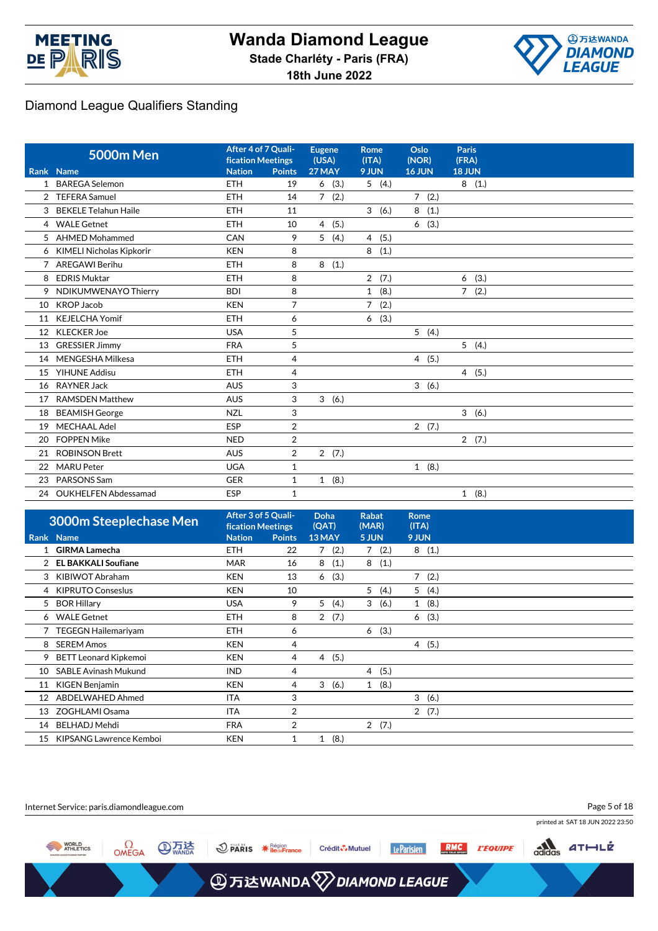



|    | <b>5000m Men</b>            | After 4 of 7 Quali-<br><b>fication Meetings</b> |                | <b>Eugene</b><br>(USA) | <b>Rome</b><br>(ITA)   | Oslo<br>(NOR) | <b>Paris</b><br>(FRA) |
|----|-----------------------------|-------------------------------------------------|----------------|------------------------|------------------------|---------------|-----------------------|
|    | Rank Name                   | <b>Nation</b>                                   | <b>Points</b>  | 27 MAY                 | 9 JUN                  | <b>16 JUN</b> | 18 JUN                |
|    | 1 BAREGA Selemon            | <b>ETH</b>                                      | 19             | 6<br>(3.)              | 5(4.)                  |               | 8(1.)                 |
| 2  | <b>TEFERA Samuel</b>        | <b>ETH</b>                                      | 14             | 7(2.)                  |                        | 7(2.)         |                       |
| 3  | <b>BEKELE Telahun Haile</b> | <b>ETH</b>                                      | 11             |                        | 3(6.)                  | (1.)<br>8     |                       |
|    | 4 WALE Getnet               | <b>ETH</b>                                      | 10             | (5.)<br>$\overline{4}$ |                        | 6(3.)         |                       |
|    | 5 AHMED Mohammed            | CAN                                             | 9              | 5<br>(4.)              | 4(5.)                  |               |                       |
|    | 6 KIMELI Nicholas Kipkorir  | <b>KEN</b>                                      | 8              |                        | 8(1.)                  |               |                       |
| 7  | <b>AREGAWI Berihu</b>       | <b>ETH</b>                                      | 8              | (1.)<br>8              |                        |               |                       |
| 8  | <b>EDRIS Muktar</b>         | <b>ETH</b>                                      | 8              |                        | 2(7.)                  |               | (3.)<br>6             |
| 9  | NDIKUMWENAYO Thierry        | <b>BDI</b>                                      | 8              |                        | (8.)<br>$\mathbf{1}$   |               | 7(2.)                 |
| 10 | <b>KROP Jacob</b>           | <b>KEN</b>                                      | $\overline{7}$ |                        | (2.)<br>$\overline{7}$ |               |                       |
| 11 | <b>KEJELCHA Yomif</b>       | <b>ETH</b>                                      | 6              |                        | (3.)<br>6              |               |                       |
| 12 | <b>KLECKER Joe</b>          | <b>USA</b>                                      | 5              |                        |                        | 5(4.)         |                       |
| 13 | <b>GRESSIER Jimmy</b>       | <b>FRA</b>                                      | 5              |                        |                        |               | 5(4.)                 |
| 14 | MENGESHA Milkesa            | <b>ETH</b>                                      | $\overline{4}$ |                        |                        | 4(5.)         |                       |
| 15 | <b>YIHUNE Addisu</b>        | <b>ETH</b>                                      | 4              |                        |                        |               | 4(5.)                 |
| 16 | <b>RAYNER Jack</b>          | <b>AUS</b>                                      | 3              |                        |                        | 3(6.)         |                       |
| 17 | <b>RAMSDEN Matthew</b>      | <b>AUS</b>                                      | 3              | 3(6.)                  |                        |               |                       |
| 18 | <b>BEAMISH George</b>       | <b>NZL</b>                                      | 3              |                        |                        |               | 3(6.)                 |
| 19 | <b>MECHAAL Adel</b>         | ESP                                             | $\overline{2}$ |                        |                        | 2(7.)         |                       |
| 20 | <b>FOPPEN Mike</b>          | <b>NED</b>                                      | 2              |                        |                        |               | 2(7.)                 |
| 21 | <b>ROBINSON Brett</b>       | <b>AUS</b>                                      | $\overline{2}$ | 2(7.)                  |                        |               |                       |
| 22 | <b>MARU Peter</b>           | <b>UGA</b>                                      | $\mathbf{1}$   |                        |                        | 1(8.)         |                       |
| 23 | PARSONS Sam                 | <b>GER</b>                                      | 1              | 1(8.)                  |                        |               |                       |
|    | 24 OUKHELFEN Abdessamad     | <b>ESP</b>                                      | $\mathbf{1}$   |                        |                        |               | 1(8.)                 |

|    | <b>3000m Steeplechase Men</b> | After 3 of 5 Quali-<br><b>fication Meetings</b> |                | Doha<br>(QAT)          | <b>Rabat</b><br>(MAR) | Rome<br>(ITA) |  |
|----|-------------------------------|-------------------------------------------------|----------------|------------------------|-----------------------|---------------|--|
|    | Rank Name                     | <b>Nation</b>                                   | <b>Points</b>  | 13 MAY                 | 5 JUN                 | 9 JUN         |  |
|    | <b>GIRMA Lamecha</b>          | <b>ETH</b>                                      | 22             | (2.)<br>7              | (2.)<br>7             | 8(1.)         |  |
|    | <b>EL BAKKALI Soufiane</b>    | <b>MAR</b>                                      | 16             | (1.)<br>8              | 8<br>(1.)             |               |  |
| 3  | KIBIWOT Abraham               | <b>KEN</b>                                      | 13             | (3.)<br>6              |                       | 7(2.)         |  |
| 4  | <b>KIPRUTO Conseslus</b>      | <b>KEN</b>                                      | 10             |                        | 5(4.)                 | 5(4.)         |  |
| 5  | <b>BOR Hillary</b>            | <b>USA</b>                                      | 9              | 5<br>(4.)              | 3(6.)                 | 1(8.)         |  |
| 6  | <b>WALE Getnet</b>            | <b>ETH</b>                                      | 8              | (7.)<br>$\overline{2}$ |                       | 6(3.)         |  |
|    | <b>TEGEGN Hailemariyam</b>    | <b>ETH</b>                                      | 6              |                        | (3.)<br>6             |               |  |
| 8  | <b>SEREM Amos</b>             | <b>KEN</b>                                      | 4              |                        |                       | 4(5.)         |  |
| 9  | <b>BETT Leonard Kipkemoi</b>  | <b>KEN</b>                                      | 4              | (5.)<br>$\overline{4}$ |                       |               |  |
| 10 | <b>SABLE Avinash Mukund</b>   | <b>IND</b>                                      | 4              |                        | (5.)<br>4             |               |  |
| 11 | KIGEN Benjamin                | <b>KEN</b>                                      | 4              | 3<br>(6.)              | (8.)<br>$\mathbf{1}$  |               |  |
| 12 | ABDELWAHED Ahmed              | <b>ITA</b>                                      | 3              |                        |                       | 3(6.)         |  |
| 13 | ZOGHLAMI Osama                | ITA                                             | 2              |                        |                       | 2(7.)         |  |
| 14 | <b>BELHADJ Mehdi</b>          | <b>FRA</b>                                      | $\overline{2}$ |                        | 2(7.)                 |               |  |
| 15 | KIPSANG Lawrence Kemboi       | <b>KEN</b>                                      | 1              | (8.)<br>1              |                       |               |  |

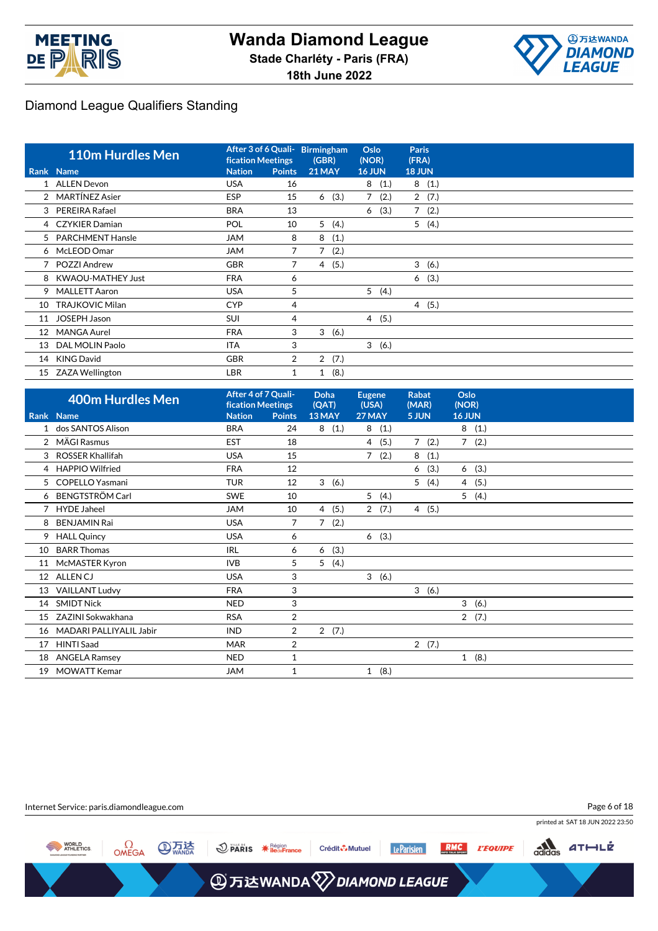



|    | <b>110m Hurdles Men</b>  | After 3 of 6 Quali-<br><b>fication Meetings</b> |                | <b>Birmingham</b><br>(GBR) | Oslo<br>(NOR) |      | <b>Paris</b><br>(FRA) |       |
|----|--------------------------|-------------------------------------------------|----------------|----------------------------|---------------|------|-----------------------|-------|
|    | Rank Name                | <b>Nation</b>                                   | <b>Points</b>  | <b>21 MAY</b>              | <b>16 JUN</b> |      | <b>18 JUN</b>         |       |
|    | 1 ALLEN Devon            | <b>USA</b>                                      | 16             |                            | 8             | (1.) |                       | 8(1.) |
|    | 2 MARTÍNEZ Asier         | <b>ESP</b>                                      | 15             | (3.)<br>6                  | $7^{\circ}$   | (2.) |                       | 2(7.) |
| 3  | <b>PEREIRA Rafael</b>    | <b>BRA</b>                                      | 13             |                            | 6             | (3.) | $7^{\circ}$           | (2.)  |
|    | 4 CZYKIER Damian         | POL                                             | 10             | 5(4.)                      |               |      |                       | 5(4.) |
|    | 5 PARCHMENT Hansle       | <b>JAM</b>                                      | 8              | (1.)<br>8                  |               |      |                       |       |
|    | 6 McLEOD Omar            | <b>JAM</b>                                      | 7              | $7^{\circ}$<br>(2.)        |               |      |                       |       |
|    | 7 POZZI Andrew           | <b>GBR</b>                                      | 7              | (5.)<br>4                  |               |      | 3                     | (6.)  |
| 8  | <b>KWAOU-MATHEY Just</b> | <b>FRA</b>                                      | 6              |                            |               |      | 6                     | (3.)  |
| 9  | <b>MALLETT Aaron</b>     | <b>USA</b>                                      | 5              |                            | 5             | (4.) |                       |       |
| 10 | <b>TRAJKOVIC Milan</b>   | <b>CYP</b>                                      | 4              |                            |               |      |                       | 4(5.) |
| 11 | <b>JOSEPH Jason</b>      | <b>SUI</b>                                      | 4              |                            | 4(5.)         |      |                       |       |
| 12 | <b>MANGA Aurel</b>       | <b>FRA</b>                                      | 3              | 3<br>(6.)                  |               |      |                       |       |
| 13 | DAL MOLIN Paolo          | <b>ITA</b>                                      | 3              |                            | 3(6.)         |      |                       |       |
| 14 | <b>KING David</b>        | <b>GBR</b>                                      | $\overline{2}$ | 2<br>(7.)                  |               |      |                       |       |
|    | 15 ZAZA Wellington       | <b>LBR</b>                                      | 1              | 1(8.)                      |               |      |                       |       |

|    | 400m Hurdles Men        | After 4 of 7 Quali-<br><b>fication Meetings</b> |                | <b>Doha</b><br>(QAT) | <b>Eugene</b><br>(USA) | <b>Rabat</b><br>(MAR) | Oslo<br>(NOR) |
|----|-------------------------|-------------------------------------------------|----------------|----------------------|------------------------|-----------------------|---------------|
|    | Rank Name               | <b>Nation</b>                                   | <b>Points</b>  | 13 MAY               | 27 MAY                 | 5 JUN                 | <b>16 JUN</b> |
|    | 1 dos SANTOS Alison     | <b>BRA</b>                                      | 24             | 8<br>(1.)            | 8(1.)                  |                       | 8(1.)         |
|    | 2 MÄGI Rasmus           | <b>EST</b>                                      | 18             |                      | (5.)<br>4              | 7(2.)                 | 7(2.)         |
|    | 3 ROSSER Khallifah      | <b>USA</b>                                      | 15             |                      | $\overline{7}$<br>(2.) | 8(1.)                 |               |
| 4  | <b>HAPPIO Wilfried</b>  | <b>FRA</b>                                      | 12             |                      |                        | (3.)<br>6             | (3.)<br>6     |
|    | 5 COPELLO Yasmani       | <b>TUR</b>                                      | 12             | 3(6.)                |                        | 5(4.)                 | 4(5.)         |
|    | 6 BENGTSTRÖM Carl       | <b>SWE</b>                                      | 10             |                      | 5(4.)                  |                       | 5<br>(4.)     |
|    | <b>HYDE Jaheel</b>      | <b>JAM</b>                                      | 10             | (5.)<br>4            | $\overline{2}$<br>(7.) | 4(5.)                 |               |
| 8  | <b>BENJAMIN Rai</b>     | <b>USA</b>                                      | 7              | 7<br>(2.)            |                        |                       |               |
| 9  | <b>HALL Quincy</b>      | <b>USA</b>                                      | 6              |                      | (3.)<br>6              |                       |               |
| 10 | <b>BARR Thomas</b>      | <b>IRL</b>                                      | 6              | (3.)<br>6            |                        |                       |               |
| 11 | McMASTER Kyron          | <b>IVB</b>                                      | 5              | 5<br>(4.)            |                        |                       |               |
| 12 | <b>ALLEN CJ</b>         | <b>USA</b>                                      | 3              |                      | 3(6.)                  |                       |               |
| 13 | <b>VAILLANT Ludvy</b>   | <b>FRA</b>                                      | 3              |                      |                        | 3<br>(6.)             |               |
| 14 | <b>SMIDT Nick</b>       | <b>NED</b>                                      | 3              |                      |                        |                       | 3<br>(6.)     |
| 15 | ZAZINI Sokwakhana       | <b>RSA</b>                                      | 2              |                      |                        |                       | 2(7.)         |
| 16 | MADARI PALLIYALIL Jabir | <b>IND</b>                                      | $\overline{2}$ | 2(7.)                |                        |                       |               |
| 17 | <b>HINTI Saad</b>       | <b>MAR</b>                                      | $\overline{2}$ |                      |                        | 2(7.)                 |               |
|    | 18 ANGELA Ramsey        | <b>NED</b>                                      | 1              |                      |                        |                       | 1(8.)         |
| 19 | <b>MOWATT Kemar</b>     | <b>JAM</b>                                      | 1              |                      | (8.)<br>1              |                       |               |

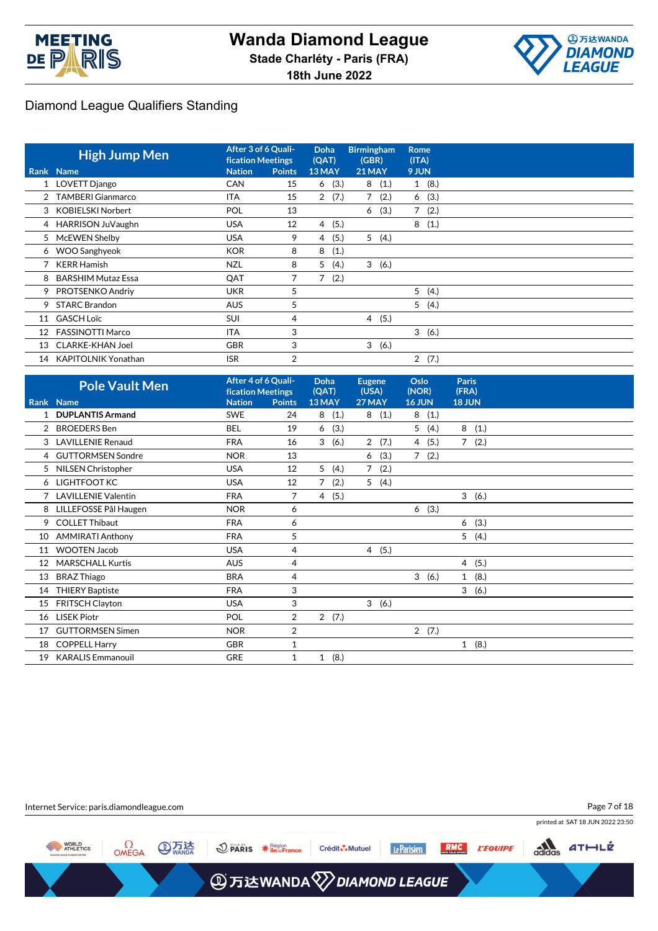



|                 | <b>High Jump Men</b>    | After 3 of 6 Quali-<br><b>fication Meetings</b> |               | <b>Doha</b><br>(QAT)   | <b>Birmingham</b><br>(GBR) | <b>Rome</b><br>(ITA) |      |
|-----------------|-------------------------|-------------------------------------------------|---------------|------------------------|----------------------------|----------------------|------|
|                 | Rank Name               | <b>Nation</b>                                   | <b>Points</b> | 13 MAY                 | 21 MAY                     | 9 JUN                |      |
|                 | 1 LOVETT Django         | <b>CAN</b>                                      | 15            | (3.)<br>6              | 8(1.)                      | 1(8.)                |      |
|                 | 2 TAMBERI Gianmarco     | <b>ITA</b>                                      | 15            | 2(7.)                  | 7<br>(2.)                  | 6(3.)                |      |
|                 | 3 KOBIELSKI Norbert     | POL                                             | 13            |                        | (3.)<br>6                  | 7                    | (2.) |
|                 | 4 HARRISON JuVaughn     | <b>USA</b>                                      | 12            | 4(5.)                  |                            | 8                    | (1.) |
| 5               | McEWEN Shelby           | <b>USA</b>                                      | 9             | (5.)<br>4              | 5(4.)                      |                      |      |
|                 | 6 WOO Sanghyeok         | <b>KOR</b>                                      | 8             | (1.)<br>8              |                            |                      |      |
|                 | <b>KERR Hamish</b>      | <b>NZL</b>                                      | 8             | (4.)<br>5              | 3(6.)                      |                      |      |
|                 | 8 BARSHIM Mutaz Essa    | QAT                                             |               | (2.)<br>$\overline{7}$ |                            |                      |      |
| 9               | PROTSENKO Andriy        | <b>UKR</b>                                      | 5             |                        |                            | 5                    | (4.) |
| 9.              | <b>STARC Brandon</b>    | <b>AUS</b>                                      | 5             |                        |                            | 5                    | (4.) |
| 11              | <b>GASCH Loïc</b>       | <b>SUI</b>                                      | 4             |                        | 4(5.)                      |                      |      |
| 12 <sup>2</sup> | <b>FASSINOTTI Marco</b> | <b>ITA</b>                                      | 3             |                        |                            | 3                    | (6.) |
| 13              | <b>CLARKE-KHAN Joel</b> | <b>GBR</b>                                      | 3             |                        | 3(6.)                      |                      |      |
| 14              | KAPITOLNIK Yonathan     | <b>ISR</b>                                      | 2             |                        |                            | $\overline{2}$       | (7.) |

|                | <b>Pole Vault Men</b>      |               | After 4 of 6 Quali-<br><b>fication Meetings</b> |                      | <b>Eugene</b><br>(USA) | Oslo<br>(NOR)       | <b>Paris</b><br>(FRA) |  |
|----------------|----------------------------|---------------|-------------------------------------------------|----------------------|------------------------|---------------------|-----------------------|--|
|                | Rank Name                  | <b>Nation</b> | <b>Points</b>                                   | 13 MAY               | 27 MAY                 | <b>16 JUN</b>       | <b>18 JUN</b>         |  |
| 1              | <b>DUPLANTIS Armand</b>    | <b>SWE</b>    | 24                                              | (1.)<br>8            | (1.)<br>8              | 8<br>(1.)           |                       |  |
| $\overline{2}$ | <b>BROEDERS</b> Ben        | <b>BEL</b>    | 19                                              | (3.)<br>6            |                        | 5(4.)               | 8<br>(1.)             |  |
|                | 3 LAVILLENIE Renaud        | <b>FRA</b>    | 16                                              | 3<br>(6.)            | $\overline{2}$<br>(7.) | 4(5.)               | $7^{\circ}$<br>(2.)   |  |
| 4              | <b>GUTTORMSEN Sondre</b>   | <b>NOR</b>    | 13                                              |                      | (3.)<br>6              | $7^{\circ}$<br>(2.) |                       |  |
| 5              | NILSEN Christopher         | <b>USA</b>    | 12                                              | 5<br>(4.)            | 7<br>(2.)              |                     |                       |  |
|                | 6 LIGHTFOOT KC             | <b>USA</b>    | 12                                              | (2.)<br>$7^{\circ}$  | 5(4.)                  |                     |                       |  |
|                | <b>LAVILLENIE Valentin</b> | <b>FRA</b>    | 7                                               | 4(5.)                |                        |                     | 3(6.)                 |  |
| 8              | LILLEFOSSE Pål Haugen      | <b>NOR</b>    | 6                                               |                      |                        | 6(3.)               |                       |  |
| 9              | <b>COLLET Thibaut</b>      | <b>FRA</b>    | 6                                               |                      |                        |                     | (3.)<br>6             |  |
| 10             | <b>AMMIRATI Anthony</b>    | <b>FRA</b>    | 5                                               |                      |                        |                     | 5<br>(4.)             |  |
| 11             | <b>WOOTEN Jacob</b>        | <b>USA</b>    | 4                                               |                      | 4(5.)                  |                     |                       |  |
| 12             | <b>MARSCHALL Kurtis</b>    | <b>AUS</b>    | 4                                               |                      |                        |                     | (5.)<br>4             |  |
| 13             | <b>BRAZ Thiago</b>         | <b>BRA</b>    | 4                                               |                      |                        | 3(6.)               | $\mathbf{1}$<br>(8.)  |  |
| 14             | <b>THIERY Baptiste</b>     | <b>FRA</b>    | 3                                               |                      |                        |                     | 3<br>(6.)             |  |
| 15             | FRITSCH Clayton            | <b>USA</b>    | 3                                               |                      | 3(6.)                  |                     |                       |  |
| 16             | <b>LISEK Piotr</b>         | POL           | 2                                               | 2(7.)                |                        |                     |                       |  |
| 17             | <b>GUTTORMSEN Simen</b>    | <b>NOR</b>    | 2                                               |                      |                        | 2(7.)               |                       |  |
| 18             | <b>COPPELL Harry</b>       | <b>GBR</b>    | $\mathbf{1}$                                    |                      |                        |                     | (8.)<br>$\mathbf{1}$  |  |
| 19             | <b>KARALIS Emmanouil</b>   | <b>GRE</b>    | 1                                               | (8.)<br>$\mathbf{1}$ |                        |                     |                       |  |

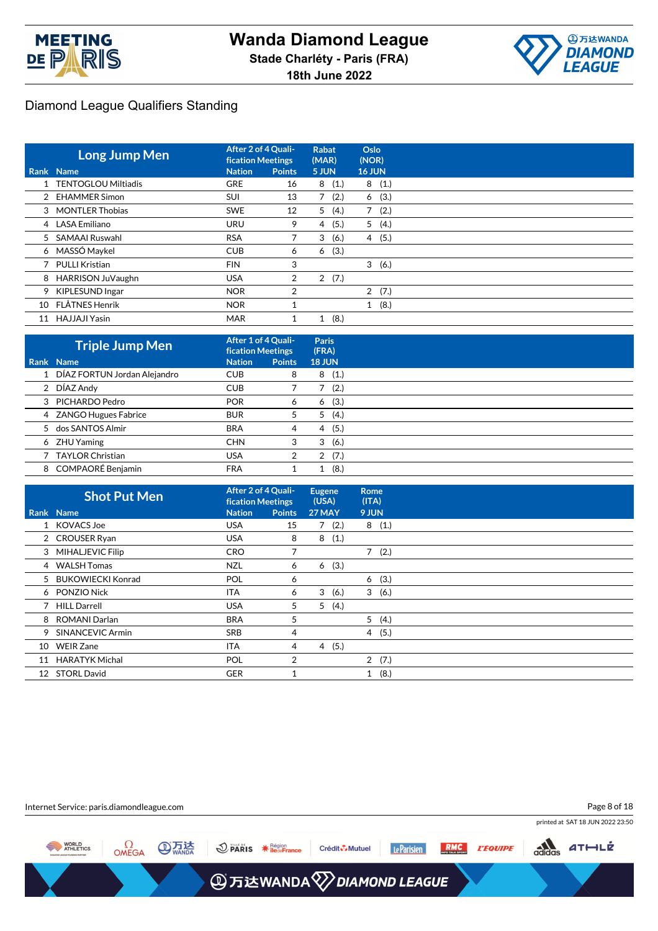



|    | <b>Long Jump Men</b>       | After 2 of 4 Quali-<br><b>fication Meetings</b> |                | <b>Rabat</b><br>(MAR)  | Oslo<br>(NOR)          |
|----|----------------------------|-------------------------------------------------|----------------|------------------------|------------------------|
|    | Rank Name                  | <b>Nation</b>                                   | <b>Points</b>  | 5 JUN                  | <b>16 JUN</b>          |
|    | <b>TENTOGLOU Miltiadis</b> | <b>GRE</b>                                      | 16             | (1.)<br>8              | 8(1.)                  |
|    | 2 EHAMMER Simon            | <b>SUI</b>                                      | 13             | 7<br>(2.)              | (3.)<br>6              |
|    | 3 MONTLER Thobias          | <b>SWE</b>                                      | 12             | 5<br>(4.)              | 7<br>(2.)              |
|    | 4 LASA Emiliano            | <b>URU</b>                                      | 9              | (5.)<br>4              | 5(4.)                  |
|    | 5 SAMAAI Ruswahl           | <b>RSA</b>                                      |                | 3<br>(6.)              | (5.)<br>$\overline{4}$ |
|    | 6 MASSÓ Maykel             | <b>CUB</b>                                      | 6              | (3.)<br>6              |                        |
|    | <b>PULLI Kristian</b>      | <b>FIN</b>                                      | 3              |                        | 3<br>(6.)              |
| 8  | HARRISON JuVaughn          | USA                                             | $\overline{2}$ | (7.)<br>$\overline{2}$ |                        |
| 9  | KIPLESUND Ingar            | <b>NOR</b>                                      | $\overline{2}$ |                        | 2(7.)                  |
| 10 | FLÅTNES Henrik             | <b>NOR</b>                                      |                |                        | 1(8.)                  |
| 11 | HAJJAJI Yasin              | <b>MAR</b>                                      |                | (8.)<br>1              |                        |

| <b>Triple Jump Men</b>         | After 1 of 4 Quali-<br><b>fication Meetings</b> |               | Paris<br>(FRA) |
|--------------------------------|-------------------------------------------------|---------------|----------------|
| Rank Name                      | <b>Nation</b>                                   | <b>Points</b> | <b>18 JUN</b>  |
| 1 DÍAZ FORTUN Jordan Alejandro | <b>CUB</b>                                      | 8             | (1.)<br>8      |
| 2 DÍAZ Andy                    | <b>CUB</b>                                      |               | (2.)           |
| 3 PICHARDO Pedro               | <b>POR</b>                                      | 6             | (3.)<br>6      |
| 4 ZANGO Hugues Fabrice         | <b>BUR</b>                                      | 5             | (4.)<br>5      |
| 5 dos SANTOS Almir             | <b>BRA</b>                                      | 4             | (5.)<br>4      |
| 6 ZHU Yaming                   | <b>CHN</b>                                      | 3             | (6.)<br>3      |
| <b>TAYLOR Christian</b>        | <b>USA</b>                                      | 2             | (7.)<br>2      |
| 8 COMPAORÉ Benjamin            | <b>FRA</b>                                      |               | (8,            |

|    | <b>Shot Put Men</b>     | After 2 of 4 Quali-<br><b>fication Meetings</b> |               | <b>Eugene</b><br>(USA) | <b>Rome</b><br>(ITA) |       |  |
|----|-------------------------|-------------------------------------------------|---------------|------------------------|----------------------|-------|--|
|    | Rank Name               | <b>Nation</b>                                   | <b>Points</b> | 27 MAY                 | 9 JUN                |       |  |
|    | 1 KOVACS Joe            | <b>USA</b>                                      | 15            | 7(2.)                  |                      | 8(1.) |  |
|    | 2 CROUSER Ryan          | <b>USA</b>                                      | 8             | 8<br>(1.)              |                      |       |  |
|    | 3 MIHALJEVIC Filip      | <b>CRO</b>                                      | 7             |                        |                      | 7(2.) |  |
|    | 4 WALSH Tomas           | <b>NZL</b>                                      | 6             | (3.)<br>6              |                      |       |  |
|    | 5 BUKOWIECKI Konrad     | POL                                             | 6             |                        | 6                    | (3.)  |  |
|    | 6 PONZIO Nick           | <b>ITA</b>                                      | 6             | 3<br>(6.)              |                      | 3(6.) |  |
|    | 7 HILL Darrell          | <b>USA</b>                                      | 5             | 5<br>(4.)              |                      |       |  |
|    | 8 ROMANI Darlan         | <b>BRA</b>                                      | 5             |                        |                      | 5(4.) |  |
| 9  | <b>SINANCEVIC Armin</b> | <b>SRB</b>                                      | 4             |                        |                      | 4(5.) |  |
| 10 | <b>WEIR Zane</b>        | <b>ITA</b>                                      | 4             | (5.)<br>4              |                      |       |  |
| 11 | <b>HARATYK Michal</b>   | POL                                             | 2             |                        |                      | 2(7.) |  |
|    | 12 STORL David          | <b>GER</b>                                      |               |                        | $\mathbf{1}$         | (8.)  |  |

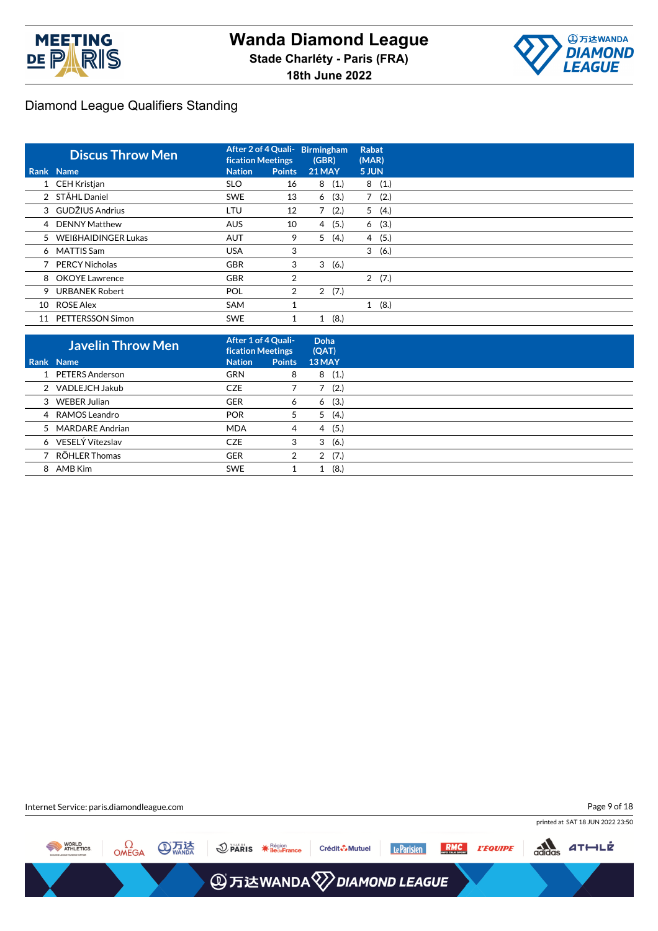



|    | <b>Discus Throw Men</b> | After 2 of 4 Quali-<br><b>fication Meetings</b> |                | <b>Birmingham</b><br>(GBR) |   | <b>Rabat</b><br>(MAR) |
|----|-------------------------|-------------------------------------------------|----------------|----------------------------|---|-----------------------|
|    | Rank Name               | <b>Nation</b>                                   | <b>Points</b>  | <b>21 MAY</b>              |   | 5 JUN                 |
|    | 1 CEH Kristjan          | <b>SLO</b>                                      | 16             | 8(1.)                      |   | 8(1.)                 |
|    | 2 STÅHL Daniel          | <b>SWE</b>                                      | 13             | (3.)<br>6                  | 7 | (2.)                  |
|    | 3 GUDŽIUS Andrius       | LTU                                             | 12             | $7^{\circ}$<br>(2.)        |   | 5(4.)                 |
|    | 4 DENNY Matthew         | <b>AUS</b>                                      | 10             | (5.)<br>4                  |   | (3.)<br>6             |
|    | 5 WEIßHAIDINGER Lukas   | <b>AUT</b>                                      | 9              | 5<br>(4.)                  |   | 4(5.)                 |
|    | 6 MATTIS Sam            | <b>USA</b>                                      | 3              |                            |   | 3<br>(6.)             |
|    | <b>PERCY Nicholas</b>   | <b>GBR</b>                                      | 3              | 3<br>(6.)                  |   |                       |
|    | 8 OKOYE Lawrence        | <b>GBR</b>                                      | $\overline{2}$ |                            |   | 2(7.)                 |
| 9  | <b>URBANEK Robert</b>   | <b>POL</b>                                      | $\overline{2}$ | (7.)<br>$\overline{2}$     |   |                       |
| 10 | <b>ROSE Alex</b>        | <b>SAM</b>                                      |                |                            |   | 1(8.)                 |
| 11 | PETTERSSON Simon        | <b>SWE</b>                                      |                | (8.)<br>1                  |   |                       |

| <b>Javelin Throw Men</b> | After 1 of 4 Quali-<br><b>fication Meetings</b> |               | Doha<br>(QAT) |
|--------------------------|-------------------------------------------------|---------------|---------------|
| Rank Name                | <b>Nation</b>                                   | <b>Points</b> | 13 MAY        |
| 1 PETERS Anderson        | <b>GRN</b>                                      | 8             | (1.)<br>8     |
| 2 VADLEJCH Jakub         | <b>CZE</b>                                      |               | (2.)          |
| 3 WEBER Julian           | <b>GER</b>                                      | 6             | (3.)<br>6     |
| 4 RAMOS Leandro          | <b>POR</b>                                      | 5             | (4.)<br>5     |
| 5 MARDARE Andrian        | <b>MDA</b>                                      | 4             | (5.)<br>4     |
| 6 VESELÝ Vítezslav       | <b>CZE</b>                                      | 3             | (6.)<br>3     |
| 7 RÖHLER Thomas          | <b>GER</b>                                      | 2             | (7.)<br>2     |
| 8 AMB Kim                | <b>SWE</b>                                      |               | (8.)          |

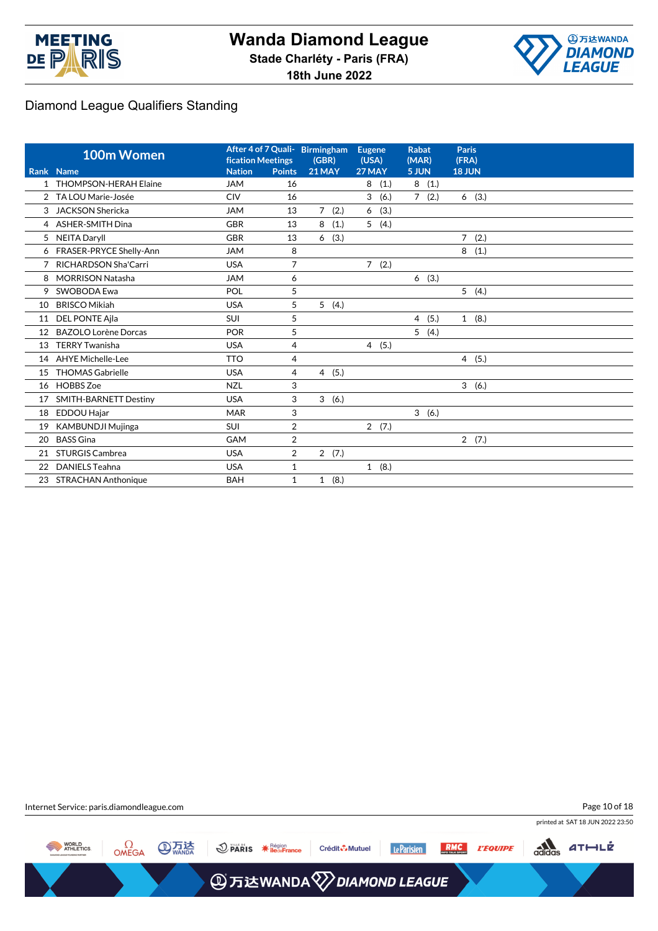



|              | 100m Women                   | <b>fication Meetings</b> |                | After 4 of 7 Quali- Birmingham<br>(GBR) | <b>Eugene</b><br>(USA) | <b>Rabat</b><br>(MAR)  | <b>Paris</b><br>(FRA)  |
|--------------|------------------------------|--------------------------|----------------|-----------------------------------------|------------------------|------------------------|------------------------|
|              | Rank Name                    | <b>Nation</b>            | <b>Points</b>  | <b>21 MAY</b>                           | 27 MAY                 | 5 JUN                  | <b>18 JUN</b>          |
| $\mathbf{1}$ | <b>THOMPSON-HERAH Elaine</b> | <b>JAM</b>               | 16             |                                         | 8<br>(1.)              | 8(1.)                  |                        |
| 2            | TA LOU Marie-Josée           | <b>CIV</b>               | 16             |                                         | 3<br>(6.)              | $7^{\circ}$<br>(2.)    | 6(3.)                  |
| 3            | <b>JACKSON Shericka</b>      | <b>JAM</b>               | 13             | $\overline{7}$<br>(2.)                  | (3.)<br>6              |                        |                        |
|              | 4 ASHER-SMITH Dina           | <b>GBR</b>               | 13             | 8<br>(1.)                               | 5<br>(4.)              |                        |                        |
|              | 5 NEITA Daryll               | <b>GBR</b>               | 13             | (3.)<br>6                               |                        |                        | $\overline{7}$<br>(2.) |
|              | 6 FRASER-PRYCE Shelly-Ann    | <b>JAM</b>               | 8              |                                         |                        |                        | 8<br>(1.)              |
| 7            | RICHARDSON Sha'Carri         | <b>USA</b>               | 7              |                                         | 7<br>(2.)              |                        |                        |
| 8            | <b>MORRISON Natasha</b>      | <b>JAM</b>               | 6              |                                         |                        | 6(3.)                  |                        |
| 9            | SWOBODA Ewa                  | POL                      | 5              |                                         |                        |                        | 5<br>(4.)              |
| 10           | <b>BRISCO Mikiah</b>         | <b>USA</b>               | 5              | 5(4.)                                   |                        |                        |                        |
| 11           | <b>DEL PONTE Ajla</b>        | <b>SUI</b>               | 5              |                                         |                        | $\overline{4}$<br>(5.) | (8.)<br>$\mathbf{1}$   |
| 12           | <b>BAZOLO Lorène Dorcas</b>  | <b>POR</b>               | 5              |                                         |                        | 5(4.)                  |                        |
| 13           | <b>TERRY Twanisha</b>        | <b>USA</b>               | $\overline{4}$ |                                         | 4(5.)                  |                        |                        |
| 14           | <b>AHYE Michelle-Lee</b>     | <b>TTO</b>               | $\overline{4}$ |                                         |                        |                        | 4(5.)                  |
| 15           | <b>THOMAS Gabrielle</b>      | <b>USA</b>               | $\overline{4}$ | (5.)<br>$\overline{4}$                  |                        |                        |                        |
| 16           | <b>HOBBS Zoe</b>             | <b>NZL</b>               | 3              |                                         |                        |                        | 3<br>(6.)              |
| 17           | <b>SMITH-BARNETT Destiny</b> | <b>USA</b>               | 3              | (6.)<br>3                               |                        |                        |                        |
| 18           | <b>EDDOU Hajar</b>           | <b>MAR</b>               | 3              |                                         |                        | 3(6.)                  |                        |
| 19           | <b>KAMBUNDJI Mujinga</b>     | SUI                      | $\overline{2}$ |                                         | 2(7.)                  |                        |                        |
| 20           | <b>BASS Gina</b>             | GAM                      | $\overline{2}$ |                                         |                        |                        | 2(7.)                  |
| 21           | <b>STURGIS Cambrea</b>       | <b>USA</b>               | $\overline{2}$ | 2(7.)                                   |                        |                        |                        |
| 22           | <b>DANIELS Teahna</b>        | <b>USA</b>               | $\mathbf{1}$   |                                         | 1(8.)                  |                        |                        |
| 23           | <b>STRACHAN Anthonique</b>   | <b>BAH</b>               | $\mathbf{1}$   | 1(8.)                                   |                        |                        |                        |

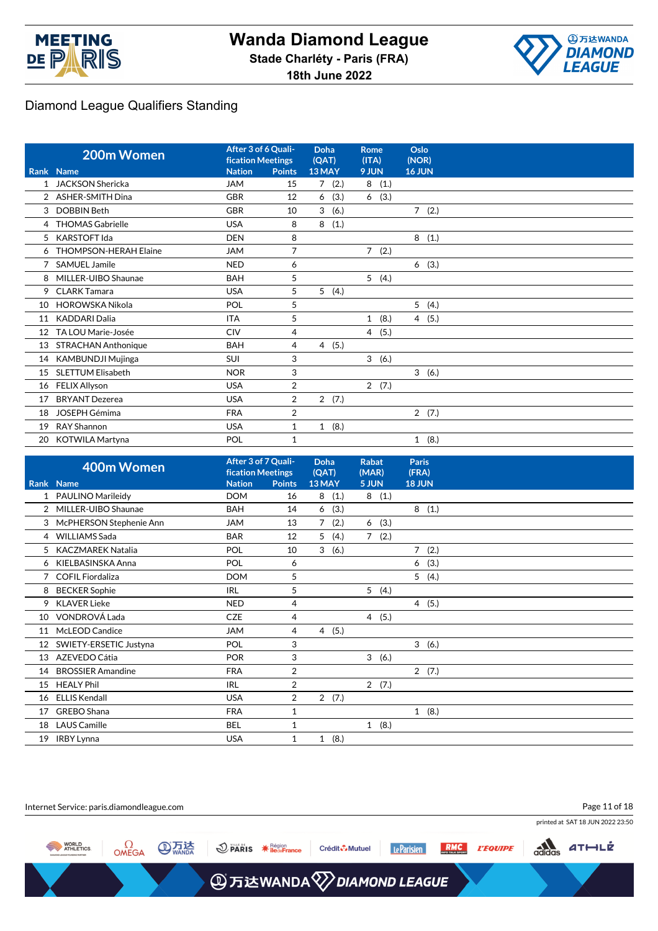



|                 | 200m Women                   | After 3 of 6 Quali-<br><b>fication Meetings</b> |                | Doha<br>(QAT)        | Rome<br>(ITA)        | Oslo<br>(NOR)        |
|-----------------|------------------------------|-------------------------------------------------|----------------|----------------------|----------------------|----------------------|
|                 | Rank Name                    | <b>Nation</b>                                   | <b>Points</b>  | 13 MAY               | 9 JUN                | <b>16 JUN</b>        |
| 1               | <b>JACKSON Shericka</b>      | <b>JAM</b>                                      | 15             | 7(2.)                | 8(1.)                |                      |
| $\overline{2}$  | <b>ASHER-SMITH Dina</b>      | <b>GBR</b>                                      | 12             | (3.)<br>6            | (3.)<br>6            |                      |
| 3               | <b>DOBBIN Beth</b>           | <b>GBR</b>                                      | 10             | 3<br>(6.)            |                      | $7^{\circ}$<br>(2.)  |
| 4               | <b>THOMAS Gabrielle</b>      | <b>USA</b>                                      | 8              | (1.)<br>8            |                      |                      |
| 5               | <b>KARSTOFT Ida</b>          | <b>DEN</b>                                      | 8              |                      |                      | 8<br>(1.)            |
| 6               | <b>THOMPSON-HERAH Elaine</b> | <b>JAM</b>                                      | 7              |                      | $7^{\circ}$<br>(2.)  |                      |
|                 | <b>SAMUEL Jamile</b>         | <b>NED</b>                                      | 6              |                      |                      | (3.)<br>6            |
| 8               | MILLER-UIBO Shaunae          | <b>BAH</b>                                      | 5              |                      | 5(4.)                |                      |
| 9               | <b>CLARK Tamara</b>          | <b>USA</b>                                      | 5              | 5(4.)                |                      |                      |
| 10              | <b>HOROWSKA Nikola</b>       | POL                                             | 5              |                      |                      | 5(4.)                |
| 11              | <b>KADDARI Dalia</b>         | <b>ITA</b>                                      | 5              |                      | (8.)<br>$\mathbf{1}$ | 4(5.)                |
| 12 <sup>°</sup> | TA LOU Marie-Josée           | <b>CIV</b>                                      | $\overline{4}$ |                      | 4 (5.)               |                      |
| 13              | <b>STRACHAN Anthonique</b>   | <b>BAH</b>                                      | 4              | (5.)<br>4            |                      |                      |
| 14              | <b>KAMBUNDJI Mujinga</b>     | SUI                                             | 3              |                      | 3(6.)                |                      |
| 15              | <b>SLETTUM Elisabeth</b>     | <b>NOR</b>                                      | 3              |                      |                      | 3(6.)                |
| 16              | <b>FELIX Allyson</b>         | <b>USA</b>                                      | $\overline{2}$ |                      | 2(7.)                |                      |
| 17              | <b>BRYANT Dezerea</b>        | <b>USA</b>                                      | 2              | 2(7.)                |                      |                      |
| 18              | <b>JOSEPH Gémima</b>         | <b>FRA</b>                                      | 2              |                      |                      | 2(7.)                |
| 19              | RAY Shannon                  | <b>USA</b>                                      | $\mathbf{1}$   | (8.)<br>$\mathbf{1}$ |                      |                      |
| 20              | <b>KOTWILA Martyna</b>       | POL                                             | 1              |                      |                      | (8.)<br>$\mathbf{1}$ |

|                 | 400m Women               | After 3 of 7 Quali-<br><b>fication Meetings</b> |                | <b>Doha</b><br>(QAT) | <b>Rabat</b><br>(MAR) | <b>Paris</b><br>(FRA)  |
|-----------------|--------------------------|-------------------------------------------------|----------------|----------------------|-----------------------|------------------------|
|                 | Rank Name                | <b>Nation</b>                                   | <b>Points</b>  | 13 MAY               | 5 JUN                 | <b>18 JUN</b>          |
| 1               | PAULINO Marileidy        | <b>DOM</b>                                      | 16             | 8<br>(1.)            | (1.)<br>8             |                        |
|                 | 2 MILLER-UIBO Shaunae    | <b>BAH</b>                                      | 14             | (3.)<br>6            |                       | 8(1.)                  |
| 3               | McPHERSON Stephenie Ann  | <b>JAM</b>                                      | 13             | 7<br>(2.)            | (3.)<br>6             |                        |
| $\overline{4}$  | <b>WILLIAMS</b> Sada     | <b>BAR</b>                                      | 12             | 5<br>(4.)            | 7(2.)                 |                        |
| 5               | <b>KACZMAREK Natalia</b> | <b>POL</b>                                      | 10             | 3<br>(6.)            |                       | $\overline{7}$<br>(2.) |
|                 | 6 KIELBASINSKA Anna      | <b>POL</b>                                      | 6              |                      |                       | (3.)<br>6              |
|                 | 7 COFIL Fiordaliza       | <b>DOM</b>                                      | 5              |                      |                       | 5(4.)                  |
| 8               | <b>BECKER Sophie</b>     | <b>IRL</b>                                      | 5              |                      | 5(4.)                 |                        |
| 9               | <b>KLAVER Lieke</b>      | <b>NED</b>                                      | 4              |                      |                       | 4(5.)                  |
|                 | 10 VONDROVÁ Lada         | <b>CZE</b>                                      | 4              |                      | 4(5.)                 |                        |
| 11              | McLEOD Candice           | <b>JAM</b>                                      | 4              | 4(5.)                |                       |                        |
| 12 <sup>°</sup> | SWIETY-ERSETIC Justyna   | <b>POL</b>                                      | 3              |                      |                       | 3(6.)                  |
| 13              | AZEVEDO Cátia            | <b>POR</b>                                      | 3              |                      | 3(6.)                 |                        |
| 14              | <b>BROSSIER Amandine</b> | <b>FRA</b>                                      | $\overline{2}$ |                      |                       | 2(7.)                  |
| 15              | <b>HEALY Phil</b>        | <b>IRL</b>                                      | $\overline{2}$ |                      | 2(7.)                 |                        |
| 16              | <b>ELLIS Kendall</b>     | <b>USA</b>                                      | 2              | 2(7.)                |                       |                        |
| 17              | GREBO Shana              | <b>FRA</b>                                      | 1              |                      |                       | 1(8.)                  |
| 18              | <b>LAUS Camille</b>      | <b>BEL</b>                                      | 1              |                      | 1(8.)                 |                        |
| 19              | <b>IRBY Lynna</b>        | <b>USA</b>                                      | 1              | (8.)<br>$\mathbf{1}$ |                       |                        |

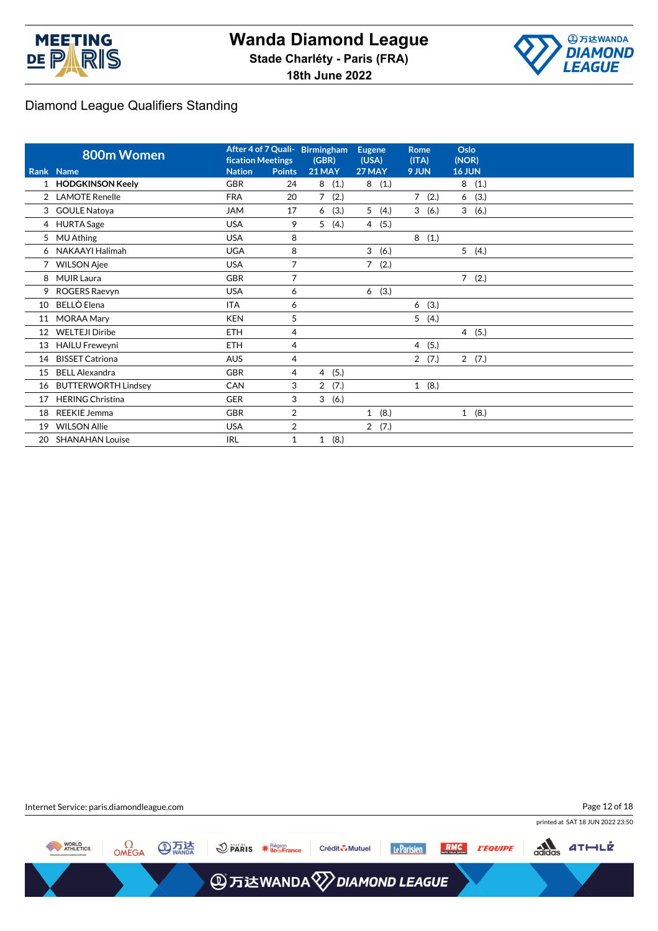



|              | 800m Women                 | After 4 of 7 Quali- Birmingham<br><b>fication Meetings</b> |                | (GBR)          |      | <b>Eugene</b><br>(USA) |      | <b>Rome</b><br>(ITA) |       | Oslo<br>(NOR) |       |
|--------------|----------------------------|------------------------------------------------------------|----------------|----------------|------|------------------------|------|----------------------|-------|---------------|-------|
|              | Rank Name                  | <b>Nation</b>                                              | <b>Points</b>  | <b>21 MAY</b>  |      | 27 MAY                 |      | 9 JUN                |       | <b>16 JUN</b> |       |
| $\mathbf{1}$ | <b>HODGKINSON Keely</b>    | <b>GBR</b>                                                 | 24             | 8              | (1.) | 8                      | (1.) |                      |       | 8             | (1.)  |
|              | 2 LAMOTE Renelle           | <b>FRA</b>                                                 | 20             | 7              | (2.) |                        |      | $\overline{7}$       | (2.)  | 6             | (3.)  |
|              | 3 GOULE Natoya             | <b>JAM</b>                                                 | 17             | 6              | (3.) | 5                      | (4.) | 3                    | (6.)  | 3             | (6.)  |
|              | 4 HURTA Sage               | <b>USA</b>                                                 | 9              | 5              | (4.) | $\overline{4}$         | (5.) |                      |       |               |       |
| 5            | <b>MU Athing</b>           | <b>USA</b>                                                 | 8              |                |      |                        |      |                      | 8(1.) |               |       |
|              | 6 NAKAAYI Halimah          | <b>UGA</b>                                                 | 8              |                |      | 3                      | (6.) |                      |       |               | 5(4.) |
|              | 7 WILSON Ajee              | <b>USA</b>                                                 | 7              |                |      | $\overline{7}$         | (2.) |                      |       |               |       |
| 8            | <b>MUIR Laura</b>          | <b>GBR</b>                                                 | 7              |                |      |                        |      |                      |       | $7^{\circ}$   | (2.)  |
| 9            | ROGERS Raevyn              | <b>USA</b>                                                 | 6              |                |      | $6\overline{6}$        | (3.) |                      |       |               |       |
| 10           | BELLÒ Elena                | <b>ITA</b>                                                 | 6              |                |      |                        |      | 6                    | (3.)  |               |       |
| 11           | <b>MORAA Mary</b>          | <b>KEN</b>                                                 | 5              |                |      |                        |      |                      | 5(4.) |               |       |
| 12           | <b>WELTEJI Diribe</b>      | <b>ETH</b>                                                 | 4              |                |      |                        |      |                      |       |               | 4(5.) |
| 13           | <b>HAILU Freweyni</b>      | <b>ETH</b>                                                 | $\overline{4}$ |                |      |                        |      |                      | 4(5.) |               |       |
| 14           | <b>BISSET Catriona</b>     | <b>AUS</b>                                                 | $\overline{4}$ |                |      |                        |      |                      | 2(7.) |               | 2(7.) |
| 15           | <b>BELL Alexandra</b>      | <b>GBR</b>                                                 | 4              | $\overline{4}$ | (5.) |                        |      |                      |       |               |       |
| 16           | <b>BUTTERWORTH Lindsey</b> | <b>CAN</b>                                                 | 3              | $\overline{2}$ | (7.) |                        |      |                      | 1(8.) |               |       |
| 17           | <b>HERING Christina</b>    | <b>GER</b>                                                 | 3              | 3              | (6.) |                        |      |                      |       |               |       |
| 18           | <b>REEKIE Jemma</b>        | <b>GBR</b>                                                 | $\overline{2}$ |                |      | $\mathbf{1}$           | (8.) |                      |       |               | 1(8.) |
| 19           | <b>WILSON Allie</b>        | <b>USA</b>                                                 | $\overline{2}$ |                |      | $\overline{2}$         | (7.) |                      |       |               |       |
| 20           | <b>SHANAHAN Louise</b>     | <b>IRL</b>                                                 | $\mathbf{1}$   | $\mathbf{1}$   | (8.) |                        |      |                      |       |               |       |

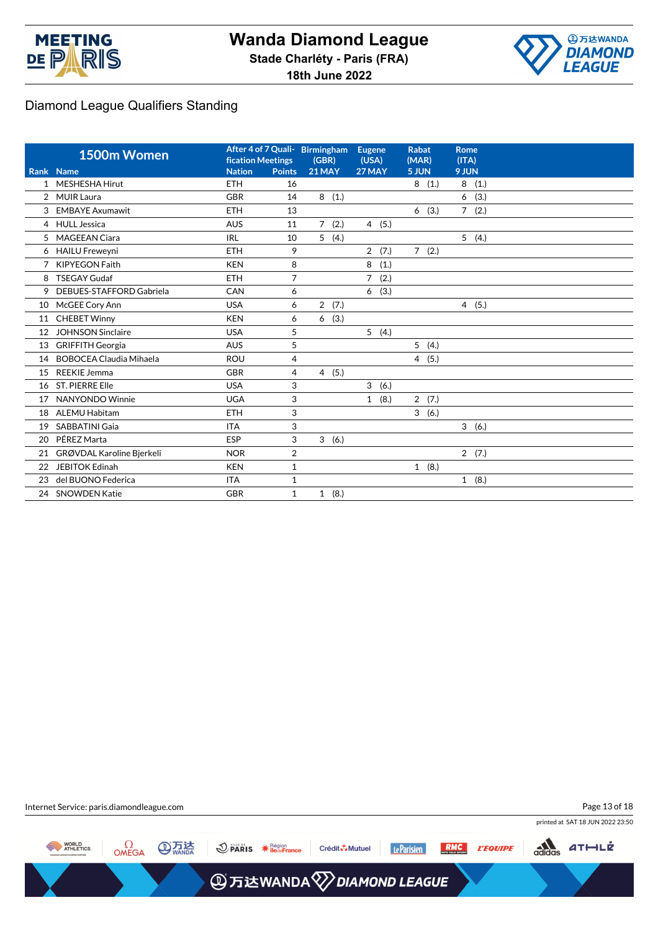



|                | 1500m Women                    | <b>fication Meetings</b> |                | After 4 of 7 Quali- Birmingham<br>(GBR) | Eugene<br>(USA)        | <b>Rabat</b><br>(MAR) | <b>Rome</b><br>(ITA)   |
|----------------|--------------------------------|--------------------------|----------------|-----------------------------------------|------------------------|-----------------------|------------------------|
|                | Rank Name                      | <b>Nation</b>            | <b>Points</b>  | <b>21 MAY</b>                           | 27 MAY                 | 5 JUN                 | 9 JUN                  |
| $\mathbf{1}$   | <b>MESHESHA Hirut</b>          | <b>ETH</b>               | 16             |                                         |                        | 8(1.)                 | 8<br>(1.)              |
| $\overline{2}$ | <b>MUIR Laura</b>              | <b>GBR</b>               | 14             | 8<br>(1.)                               |                        |                       | 6<br>(3.)              |
| 3              | <b>EMBAYE Axumawit</b>         | <b>ETH</b>               | 13             |                                         |                        | (3.)<br>6             | $7^{\circ}$<br>(2.)    |
|                | 4 HULL Jessica                 | <b>AUS</b>               | 11             | 7(2.)                                   | 4(5.)                  |                       |                        |
| 5              | <b>MAGEEAN Ciara</b>           | <b>IRL</b>               | 10             | 5<br>(4.)                               |                        |                       | 5(4.)                  |
|                | 6 HAILU Freweyni               | <b>ETH</b>               | 9              |                                         | 2(7.)                  | 7(2.)                 |                        |
| 7              | <b>KIPYEGON Faith</b>          | <b>KEN</b>               | 8              |                                         | 8<br>(1.)              |                       |                        |
| 8              | <b>TSEGAY Gudaf</b>            | <b>ETH</b>               | $\overline{7}$ |                                         | $\overline{7}$<br>(2.) |                       |                        |
| 9              | DEBUES-STAFFORD Gabriela       | CAN                      | 6              |                                         | (3.)<br>6              |                       |                        |
| 10             | McGEE Cory Ann                 | <b>USA</b>               | 6              | $\overline{2}$<br>(7.)                  |                        |                       | (5.)<br>$\overline{4}$ |
| 11             | <b>CHEBET Winny</b>            | <b>KEN</b>               | 6              | (3.)<br>6                               |                        |                       |                        |
| 12             | <b>JOHNSON Sinclaire</b>       | <b>USA</b>               | 5              |                                         | 5(4.)                  |                       |                        |
| 13             | <b>GRIFFITH Georgia</b>        | <b>AUS</b>               | 5              |                                         |                        | 5(4.)                 |                        |
| 14             | <b>BOBOCEA Claudia Mihaela</b> | <b>ROU</b>               | 4              |                                         |                        | 4(5.)                 |                        |
| 15             | <b>REEKIE Jemma</b>            | <b>GBR</b>               | 4              | 4(5.)                                   |                        |                       |                        |
| 16             | <b>ST. PIERRE Elle</b>         | <b>USA</b>               | 3              |                                         | 3<br>(6.)              |                       |                        |
| 17             | NANYONDO Winnie                | <b>UGA</b>               | 3              |                                         | 1(8.)                  | 2(7.)                 |                        |
| 18             | <b>ALEMU Habitam</b>           | <b>ETH</b>               | 3              |                                         |                        | 3(6.)                 |                        |
| 19             | <b>SABBATINI Gaia</b>          | <b>ITA</b>               | 3              |                                         |                        |                       | 3(6.)                  |
| 20             | PÉREZ Marta                    | <b>ESP</b>               | 3              | 3(6.)                                   |                        |                       |                        |
| 21             | GRØVDAL Karoline Bjerkeli      | <b>NOR</b>               | $\overline{2}$ |                                         |                        |                       | 2(7.)                  |
| 22             | <b>JEBITOK Edinah</b>          | <b>KEN</b>               | $\mathbf{1}$   |                                         |                        | 1(8.)                 |                        |
| 23             | del BUONO Federica             | <b>ITA</b>               | $\mathbf{1}$   |                                         |                        |                       | 1(8.)                  |
|                | 24 SNOWDEN Katie               | <b>GBR</b>               | $\mathbf{1}$   | 1(8.)                                   |                        |                       |                        |

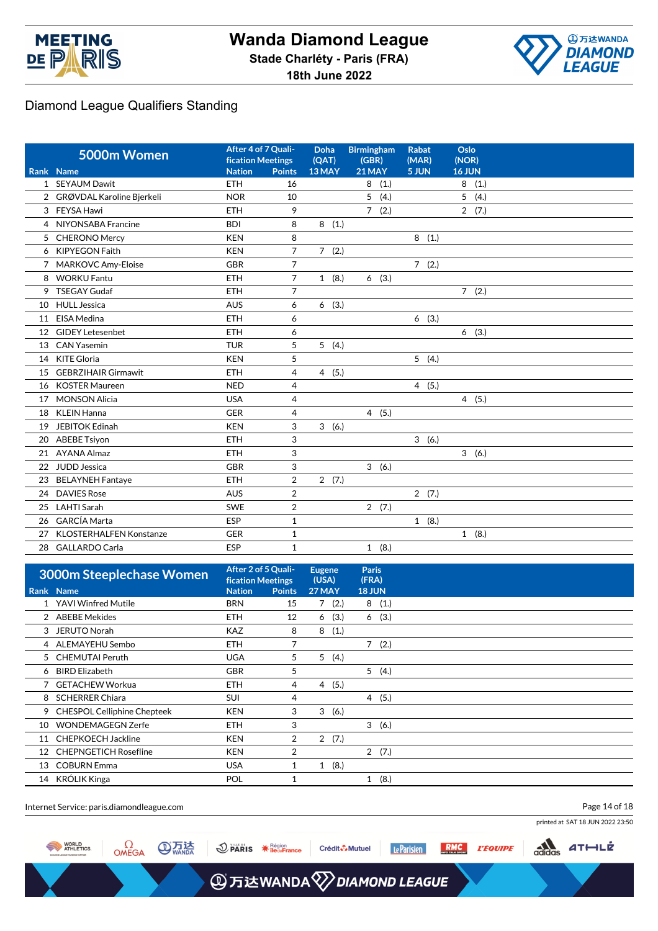



|    | 5000m Women                    | After 4 of 7 Quali-<br><b>fication Meetings</b> |                | Doha<br>(OAT) | <b>Birmingham</b><br>(GBR) | <b>Rabat</b><br>(MAR) | Oslo<br>(NOR)        |  |
|----|--------------------------------|-------------------------------------------------|----------------|---------------|----------------------------|-----------------------|----------------------|--|
|    | Rank Name                      | <b>Nation</b>                                   | <b>Points</b>  | 13 MAY        | <b>21 MAY</b>              | 5 JUN                 | 16 JUN               |  |
|    | 1 SEYAUM Dawit                 | ETH                                             | 16             |               | 8<br>(1.)                  |                       | 8<br>(1.)            |  |
|    | 2 GRØVDAL Karoline Bjerkeli    | <b>NOR</b>                                      | 10             |               | 5<br>(4.)                  |                       | 5<br>(4.)            |  |
| 3  | FEYSA Hawi                     | <b>ETH</b>                                      | 9              |               | 7(2.)                      |                       | 2(7.)                |  |
| 4  | NIYONSABA Francine             | <b>BDI</b>                                      | 8              | 8<br>(1.)     |                            |                       |                      |  |
| 5  | <b>CHERONO Mercy</b>           | <b>KEN</b>                                      | 8              |               |                            | 8(1.)                 |                      |  |
| 6  | <b>KIPYEGON Faith</b>          | <b>KEN</b>                                      | $\overline{7}$ | 7(2.)         |                            |                       |                      |  |
|    | <b>MARKOVC Amy-Eloise</b>      | <b>GBR</b>                                      | 7              |               |                            | 7(2.)                 |                      |  |
| 8  | <b>WORKU Fantu</b>             | <b>ETH</b>                                      | $\overline{7}$ | 1(8.)         | (3.)<br>6                  |                       |                      |  |
| 9  | <b>TSEGAY Gudaf</b>            | <b>ETH</b>                                      | 7              |               |                            |                       | 7(2.)                |  |
| 10 | <b>HULL Jessica</b>            | <b>AUS</b>                                      | 6              | 6(3.)         |                            |                       |                      |  |
| 11 | <b>EISA Medina</b>             | <b>ETH</b>                                      | 6              |               |                            | 6(3.)                 |                      |  |
| 12 | <b>GIDEY Letesenbet</b>        | <b>ETH</b>                                      | 6              |               |                            |                       | 6(3.)                |  |
| 13 | <b>CAN Yasemin</b>             | <b>TUR</b>                                      | 5              | 5(4.)         |                            |                       |                      |  |
| 14 | KITE Gloria                    | <b>KEN</b>                                      | 5              |               |                            | 5(4.)                 |                      |  |
| 15 | <b>GEBRZIHAIR Girmawit</b>     | <b>ETH</b>                                      | 4              | 4(5.)         |                            |                       |                      |  |
| 16 | <b>KOSTER Maureen</b>          | <b>NED</b>                                      | 4              |               |                            | 4(5.)                 |                      |  |
| 17 | <b>MONSON Alicia</b>           | <b>USA</b>                                      | 4              |               |                            |                       | 4(5.)                |  |
| 18 | <b>KLEIN Hanna</b>             | <b>GER</b>                                      | 4              |               | 4(5.)                      |                       |                      |  |
| 19 | <b>JEBITOK Edinah</b>          | <b>KEN</b>                                      | 3              | 3(6.)         |                            |                       |                      |  |
| 20 | <b>ABEBE Tsiyon</b>            | <b>ETH</b>                                      | 3              |               |                            | 3(6.)                 |                      |  |
| 21 | <b>AYANA Almaz</b>             | <b>ETH</b>                                      | 3              |               |                            |                       | $\mathbf{3}$<br>(6.) |  |
| 22 | <b>JUDD Jessica</b>            | <b>GBR</b>                                      | 3              |               | 3(6.)                      |                       |                      |  |
| 23 | <b>BELAYNEH Fantaye</b>        | <b>ETH</b>                                      | $\overline{2}$ | 2(7.)         |                            |                       |                      |  |
| 24 | <b>DAVIES Rose</b>             | <b>AUS</b>                                      | $\overline{2}$ |               |                            | 2(7.)                 |                      |  |
| 25 | <b>LAHTI Sarah</b>             | <b>SWE</b>                                      | 2              |               | 2(7.)                      |                       |                      |  |
| 26 | <b>GARCÍA Marta</b>            | ESP                                             | $\mathbf 1$    |               |                            | 1(8.)                 |                      |  |
| 27 | <b>KLOSTERHALFEN Konstanze</b> | <b>GER</b>                                      | 1              |               |                            |                       | 1(8.)                |  |
| 28 | <b>GALLARDO Carla</b>          | ESP                                             | 1              |               | 1(8.)                      |                       |                      |  |

|    | 3000m Steeplechase Women      | After 2 of 5 Quali-<br><b>fication Meetings</b> |                | <b>Eugene</b><br>(USA) |      | <b>Paris</b><br>(FRA) |       |
|----|-------------------------------|-------------------------------------------------|----------------|------------------------|------|-----------------------|-------|
|    | <b>Rank Name</b>              | <b>Nation</b>                                   | <b>Points</b>  | 27 MAY                 |      | 18 JUN                |       |
|    | YAVI Winfred Mutile           | <b>BRN</b>                                      | 15             | 7(2.)                  |      | 8                     | (1.)  |
|    | 2 ABEBE Mekides               | <b>ETH</b>                                      | 12             | 6                      | (3.) | 6                     | (3.)  |
| 3  | JERUTO Norah                  | <b>KAZ</b>                                      | 8              | 8                      | (1.) |                       |       |
|    | 4 ALEMAYEHU Sembo             | <b>ETH</b>                                      | 7              |                        |      | $7^{\circ}$           | (2.)  |
|    | 5 CHEMUTAI Peruth             | <b>UGA</b>                                      | 5              | 5                      | (4.) |                       |       |
| 6  | <b>BIRD Elizabeth</b>         | <b>GBR</b>                                      | 5              |                        |      |                       | 5(4.) |
|    | 7 GETACHEW Workua             | <b>ETH</b>                                      | 4              | 4                      | (5.) |                       |       |
| 8  | <b>SCHERRER Chiara</b>        | <b>SUI</b>                                      | 4              |                        |      |                       | 4(5.) |
|    | 9 CHESPOL Celliphine Chepteek | <b>KEN</b>                                      | 3              | 3                      | (6.) |                       |       |
| 10 | <b>WONDEMAGEGN Zerfe</b>      | <b>ETH</b>                                      | 3              |                        |      |                       | 3(6.) |
| 11 | <b>CHEPKOECH Jackline</b>     | <b>KEN</b>                                      | $\overline{2}$ | 2(7.)                  |      |                       |       |
| 12 | <b>CHEPNGETICH Rosefline</b>  | <b>KEN</b>                                      | 2              |                        |      |                       | 2(7.) |
| 13 | <b>COBURN Emma</b>            | <b>USA</b>                                      | 1              | 1(8.)                  |      |                       |       |
|    | 14 KRÓLIK Kinga               | POL                                             |                |                        |      | $\mathbf{1}$          | (8.)  |

Internet Service: paris.diamondleague.com Page 14 of 18printed at SAT 18 JUN 2022 23:50  $\frac{1}{\frac{1}{\frac{1}{\sqrt{1}}}}$  $\Omega$ OMEGA **ATTA** WORLD<br>ATHLETICS  $ATHLE$  $\bigcirc$  PARIS  $\ast$  Région Crédit & Mutuel Le Parisien **RMC**<br>MEGYALK SPORT *L'EQUIPE* 

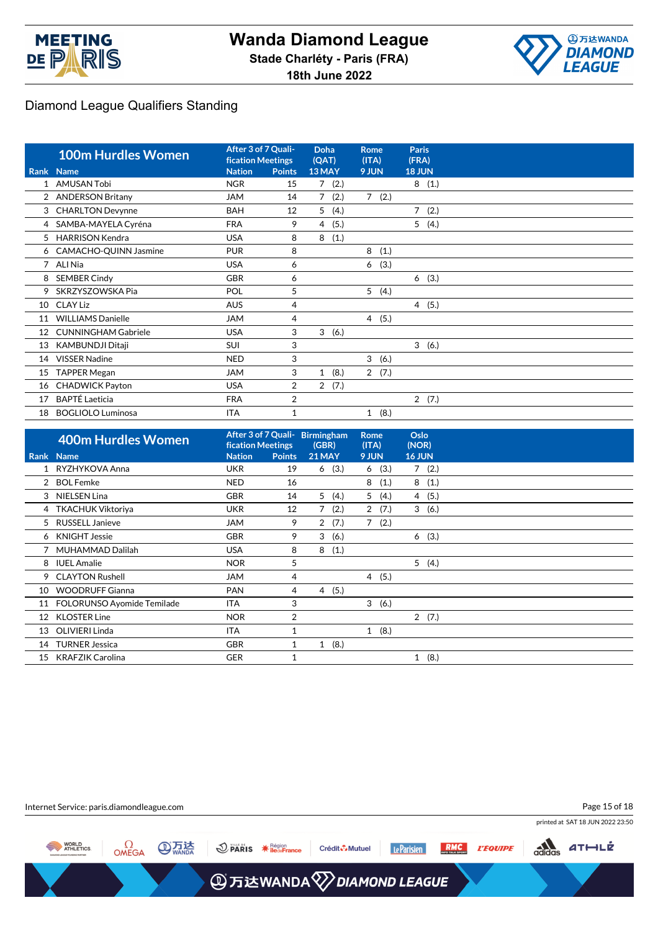



|    | <b>100m Hurdles Women</b>  | After 3 of 7 Quali-<br><b>fication Meetings</b> |                | <b>Doha</b><br>(QAT)   | Rome<br>(ITA)        | <b>Paris</b><br>(FRA)  |  |
|----|----------------------------|-------------------------------------------------|----------------|------------------------|----------------------|------------------------|--|
|    | <b>Rank Name</b>           | <b>Nation</b>                                   | <b>Points</b>  | 13 MAY                 | 9 JUN                | <b>18 JUN</b>          |  |
|    | <b>AMUSAN Tobi</b>         | <b>NGR</b>                                      | 15             | 7(2.)                  |                      | 8(1.)                  |  |
|    | <b>ANDERSON Britany</b>    | <b>JAM</b>                                      | 14             | $\overline{7}$<br>(2.) | $7^{\circ}$<br>(2.)  |                        |  |
| 3  | <b>CHARLTON Devynne</b>    | <b>BAH</b>                                      | 12             | 5<br>(4.)              |                      | $\overline{7}$<br>(2.) |  |
| 4  | SAMBA-MAYELA Cyréna        | <b>FRA</b>                                      | 9              | (5.)<br>4              |                      | 5<br>(4.)              |  |
| 5  | <b>HARRISON Kendra</b>     | <b>USA</b>                                      | 8              | (1.)<br>8              |                      |                        |  |
|    | 6 CAMACHO-QUINN Jasmine    | <b>PUR</b>                                      | 8              |                        | 8<br>(1.)            |                        |  |
|    | 7 ALI Nia                  | <b>USA</b>                                      | 6              |                        | (3.)<br>6            |                        |  |
| 8  | <b>SEMBER Cindy</b>        | <b>GBR</b>                                      | 6              |                        |                      | 6(3.)                  |  |
| 9  | SKRZYSZOWSKA Pia           | POL                                             | 5              |                        | 5<br>(4.)            |                        |  |
| 10 | CLAY Liz                   | <b>AUS</b>                                      | 4              |                        |                      | 4(5.)                  |  |
| 11 | <b>WILLIAMS Danielle</b>   | <b>JAM</b>                                      | 4              |                        | 4 (5.)               |                        |  |
| 12 | <b>CUNNINGHAM Gabriele</b> | <b>USA</b>                                      | 3              | 3<br>(6.)              |                      |                        |  |
| 13 | KAMBUNDJI Ditaji           | <b>SUI</b>                                      | 3              |                        |                      | 3(6.)                  |  |
| 14 | <b>VISSER Nadine</b>       | <b>NED</b>                                      | 3              |                        | 3<br>(6.)            |                        |  |
| 15 | <b>TAPPER Megan</b>        | <b>JAM</b>                                      | 3              | (8.)<br>$\mathbf{1}$   | $2^{\circ}$<br>(7.)  |                        |  |
| 16 | <b>CHADWICK Payton</b>     | <b>USA</b>                                      | $\overline{2}$ | 2(7.)                  |                      |                        |  |
| 17 | <b>BAPTÉ Laeticia</b>      | <b>FRA</b>                                      | 2              |                        |                      | 2(7.)                  |  |
| 18 | <b>BOGLIOLO Luminosa</b>   | <b>ITA</b>                                      |                |                        | (8.)<br>$\mathbf{1}$ |                        |  |

|    | <b>400m Hurdles Women</b>  | <b>fication Meetings</b> |               | After 3 of 7 Quali- Birmingham<br>(GBR) | <b>Rome</b><br>(ITA)   | Oslo<br>(NOR)        |
|----|----------------------------|--------------------------|---------------|-----------------------------------------|------------------------|----------------------|
|    | Rank Name                  | <b>Nation</b>            | <b>Points</b> | <b>21 MAY</b>                           | 9 JUN                  | <b>16 JUN</b>        |
|    | RYZHYKOVA Anna             | <b>UKR</b>               | 19            | (3.)<br>6                               | (3.)<br>6              | 7(2.)                |
|    | <b>BOL Femke</b>           | <b>NED</b>               | 16            |                                         | 8<br>(1.)              | 8<br>(1.)            |
|    | 3 NIELSEN Lina             | <b>GBR</b>               | 14            | 5(4.)                                   | 5 <sup>1</sup><br>(4.) | 4(5.)                |
|    | 4 TKACHUK Viktoriya        | <b>UKR</b>               | 12            | 7(2.)                                   | 2(7.)                  | 3(6.)                |
| 5. | <b>RUSSELL Janieve</b>     | <b>JAM</b>               | 9             | 2(7.)                                   | 7(2.)                  |                      |
|    | 6 KNIGHT Jessie            | <b>GBR</b>               | 9             | 3<br>(6.)                               |                        | (3.)<br>6            |
|    | 7 MUHAMMAD Dalilah         | <b>USA</b>               | 8             | 8<br>(1.)                               |                        |                      |
| 8  | <b>IUEL Amalie</b>         | <b>NOR</b>               | 5             |                                         |                        | 5(4.)                |
| 9  | <b>CLAYTON Rushell</b>     | JAM                      | 4             |                                         | 4(5.)                  |                      |
| 10 | <b>WOODRUFF Gianna</b>     | <b>PAN</b>               | 4             | 4(5.)                                   |                        |                      |
| 11 | FOLORUNSO Ayomide Temilade | ITA                      | 3             |                                         | 3(6.)                  |                      |
| 12 | <b>KLOSTER Line</b>        | <b>NOR</b>               | 2             |                                         |                        | 2(7.)                |
| 13 | OLIVIERI Linda             | <b>ITA</b>               |               |                                         | 1(8.)                  |                      |
| 14 | <b>TURNER Jessica</b>      | <b>GBR</b>               |               | (8.)<br>$\mathbf{1}$                    |                        |                      |
| 15 | <b>KRAFZIK Carolina</b>    | <b>GER</b>               |               |                                         |                        | (8.)<br>$\mathbf{1}$ |

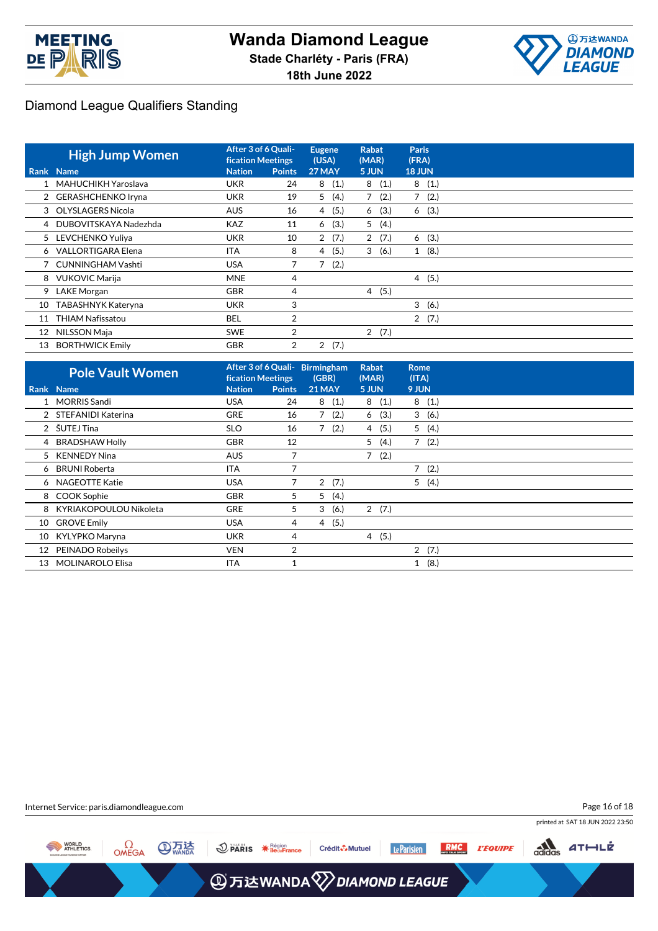



|    | <b>High Jump Women</b>  | After 3 of 6 Quali-<br><b>fication Meetings</b> |               | <b>Eugene</b><br>(USA) | <b>Rabat</b><br>(MAR) | <b>Paris</b><br>(FRA)  |  |
|----|-------------------------|-------------------------------------------------|---------------|------------------------|-----------------------|------------------------|--|
|    | Rank Name               | <b>Nation</b>                                   | <b>Points</b> | 27 MAY                 | 5 JUN                 | <b>18 JUN</b>          |  |
|    | MAHUCHIKH Yaroslava     | <b>UKR</b>                                      | 24            | (1.)<br>8              | 8(1.)                 | 8(1.)                  |  |
|    | 2 GERASHCHENKO Iryna    | <b>UKR</b>                                      | 19            | 5(4.)                  | 7<br>(2.)             | (2.)<br>$\overline{7}$ |  |
|    | 3 OLYSLAGERS Nicola     | <b>AUS</b>                                      | 16            | (5.)<br>4              | (3.)<br>6             | 6(3.)                  |  |
|    | 4 DUBOVITSKAYA Nadezhda | <b>KAZ</b>                                      | 11            | (3.)<br>6              | 5(4.)                 |                        |  |
|    | 5 LEVCHENKO Yuliya      | <b>UKR</b>                                      | 10            | 2(7.)                  | 2(7.)                 | 6(3.)                  |  |
|    | 6 VALLORTIGARA Elena    | <b>ITA</b>                                      | 8             | (5.)<br>4              | 3<br>(6.)             | 1(8.)                  |  |
|    | 7 CUNNINGHAM Vashti     | <b>USA</b>                                      |               | 7<br>(2.)              |                       |                        |  |
|    | 8 VUKOVIC Marija        | <b>MNE</b>                                      | 4             |                        |                       | 4(5.)                  |  |
| 9  | <b>LAKE Morgan</b>      | <b>GBR</b>                                      | 4             |                        | 4(5.)                 |                        |  |
| 10 | TABASHNYK Kateryna      | <b>UKR</b>                                      | 3             |                        |                       | 3<br>(6.)              |  |
| 11 | <b>THIAM Nafissatou</b> | <b>BEL</b>                                      | 2             |                        |                       | 2(7.)                  |  |
| 12 | NILSSON Maja            | <b>SWE</b>                                      | 2             |                        | 2(7.)                 |                        |  |
| 13 | <b>BORTHWICK Emily</b>  | <b>GBR</b>                                      | 2             | $\overline{2}$<br>(7.) |                       |                        |  |

|    | <b>Pole Vault Women</b> | <b>fication Meetings</b> |               | After 3 of 6 Quali- Birmingham<br>(GBR) | <b>Rabat</b><br>(MAR)  | <b>Rome</b><br>(ITA) |
|----|-------------------------|--------------------------|---------------|-----------------------------------------|------------------------|----------------------|
|    | Rank Name               | <b>Nation</b>            | <b>Points</b> | <b>21 MAY</b>                           | 5 JUN                  | 9 JUN                |
|    | 1 MORRIS Sandi          | <b>USA</b>               | 24            | 8(1.)                                   | 8(1.)                  | 8<br>(1.)            |
|    | 2 STEFANIDI Katerina    | <b>GRE</b>               | 16            | 7(2.)                                   | (3.)<br>6              | 3(6.)                |
|    | 2 ŠUTEJ Tina            | <b>SLO</b>               | 16            | 7(2.)                                   | 4(5.)                  | 5(4.)                |
|    | 4 BRADSHAW Holly        | <b>GBR</b>               | 12            |                                         | (4.)<br>5              | 7(2.)                |
|    | 5 KENNEDY Nina          | <b>AUS</b>               |               |                                         | $\overline{7}$<br>(2.) |                      |
| 6  | BRUNI Roberta           | <b>ITA</b>               | 7             |                                         |                        | 7(2.)                |
|    | 6 NAGEOTTE Katie        | <b>USA</b>               | 7             | 2(7.)                                   |                        | 5(4.)                |
|    | 8 COOK Sophie           | <b>GBR</b>               | 5             | 5(4.)                                   |                        |                      |
| 8  | KYRIAKOPOULOU Nikoleta  | <b>GRE</b>               | 5             | 3<br>(6.)                               | 2(7.)                  |                      |
| 10 | <b>GROVE Emily</b>      | <b>USA</b>               | 4             | (5.)<br>4                               |                        |                      |
| 10 | KYLYPKO Maryna          | <b>UKR</b>               | 4             |                                         | (5.)<br>$\overline{4}$ |                      |
| 12 | PEINADO Robeilys        | <b>VEN</b>               | 2             |                                         |                        | 2(7.)                |
| 13 | <b>MOLINAROLO Elisa</b> | ITA                      |               |                                         |                        | (8.)<br>$\mathbf{1}$ |

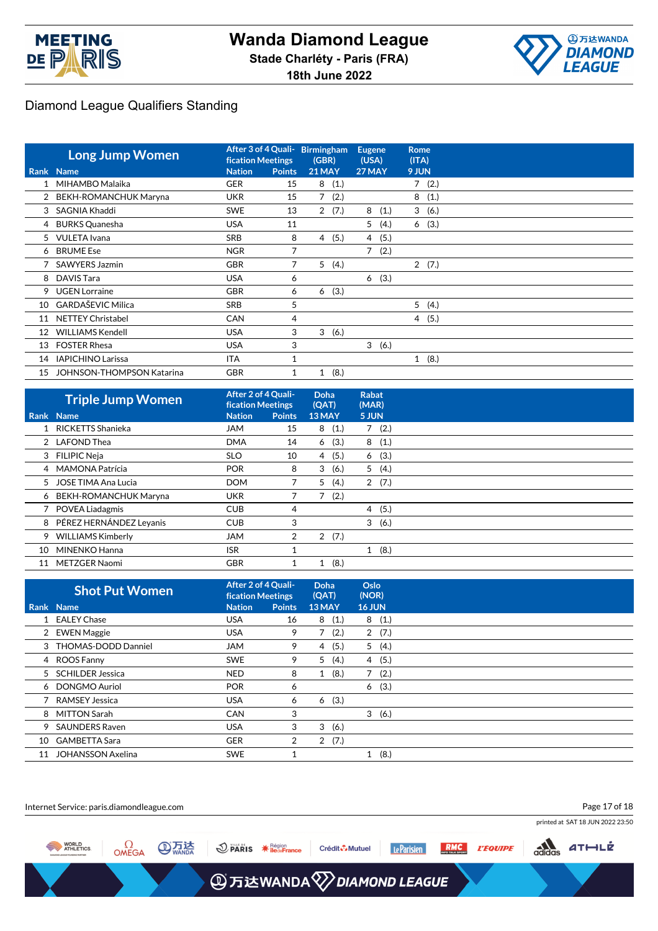



|    | <b>Long Jump Women</b>           | After 3 of 4 Quali- Birmingham<br><b>fication Meetings</b> |               | (GBR)         |       | <b>Eugene</b><br>(USA) |      | <b>Rome</b><br>(ITA) |       |
|----|----------------------------------|------------------------------------------------------------|---------------|---------------|-------|------------------------|------|----------------------|-------|
|    | Rank Name                        | <b>Nation</b>                                              | <b>Points</b> | <b>21 MAY</b> |       | 27 MAY                 |      | 9 JUN                |       |
|    | MIHAMBO Malaika                  | <b>GER</b>                                                 | 15            | 8             | (1.)  |                        |      |                      | 7(2.) |
|    | 2 BEKH-ROMANCHUK Maryna          | <b>UKR</b>                                                 | 15            |               | 7(2.) |                        |      | 8                    | (1.)  |
| 3  | SAGNIA Khaddi                    | <b>SWE</b>                                                 | 13            |               | 2(7.) | 8                      | (1.) |                      | 3(6.) |
| 4  | <b>BURKS Quanesha</b>            | <b>USA</b>                                                 | 11            |               |       | 5                      | (4.) |                      | 6(3.) |
| 5  | <b>VULETA</b> Ivana              | <b>SRB</b>                                                 | 8             | 4             | (5.)  | $\overline{4}$         | (5.) |                      |       |
|    | 6 BRUME Ese                      | <b>NGR</b>                                                 | 7             |               |       | 7                      | (2.) |                      |       |
|    | SAWYERS Jazmin                   | <b>GBR</b>                                                 | 7             | 5             | (4.)  |                        |      |                      | 2(7.) |
| 8  | DAVIS Tara                       | <b>USA</b>                                                 | 6             |               |       | 6                      | (3.) |                      |       |
| 9  | <b>UGEN Lorraine</b>             | <b>GBR</b>                                                 | 6             | 6             | (3.)  |                        |      |                      |       |
| 10 | <b>GARDAŠEVIC Milica</b>         | SRB                                                        | 5             |               |       |                        |      | 5                    | (4.)  |
| 11 | <b>NETTEY Christabel</b>         | <b>CAN</b>                                                 | 4             |               |       |                        |      |                      | 4(5.) |
| 12 | <b>WILLIAMS Kendell</b>          | <b>USA</b>                                                 | 3             | 3             | (6.)  |                        |      |                      |       |
| 13 | <b>FOSTER Rhesa</b>              | <b>USA</b>                                                 | 3             |               |       | 3                      | (6.) |                      |       |
| 14 | <b>IAPICHINO Larissa</b>         | <b>ITA</b>                                                 |               |               |       |                        |      |                      | 1(8.) |
| 15 | <b>JOHNSON-THOMPSON Katarina</b> | <b>GBR</b>                                                 | 1             | 1             | (8.)  |                        |      |                      |       |

|    | <b>Triple Jump Women</b>  | After 2 of 4 Quali-<br><b>fication Meetings</b> |                | Doha<br>(QAT) | Rabat<br>(MAR) |  |
|----|---------------------------|-------------------------------------------------|----------------|---------------|----------------|--|
|    | Rank Name                 | <b>Nation</b>                                   | <b>Points</b>  | 13 MAY        | 5 JUN          |  |
|    | 1 RICKETTS Shanieka       | <b>JAM</b>                                      | 15             | (1.)<br>8     | (2.)<br>7      |  |
|    | 2 LAFOND Thea             | <b>DMA</b>                                      | 14             | (3.)<br>6     | 8(1.)          |  |
|    | 3 FILIPIC Neja            | <b>SLO</b>                                      | 10             | (5.)<br>4     | (3.)<br>6      |  |
|    | 4 MAMONA Patrícia         | <b>POR</b>                                      | 8              | 3<br>(6.)     | 5(4.)          |  |
|    | 5 JOSE TIMA Ana Lucia     | <b>DOM</b>                                      |                | 5(4.)         | 2(7.)          |  |
|    | 6 BEKH-ROMANCHUK Maryna   | UKR                                             |                | (2.)          |                |  |
|    | 7 POVEA Liadagmis         | <b>CUB</b>                                      | 4              |               | (5.)<br>4      |  |
|    | 8 PÉREZ HERNÁNDEZ Leyanis | <b>CUB</b>                                      | 3              |               | 3<br>(6.)      |  |
|    | 9 WILLIAMS Kimberly       | <b>JAM</b>                                      | $\overline{2}$ | 2(7.)         |                |  |
| 10 | MINENKO Hanna             | <b>ISR</b>                                      |                |               | 1(8.)          |  |
| 11 | <b>METZGER Naomi</b>      | <b>GBR</b>                                      |                | (8.)          |                |  |

|    | <b>Shot Put Women</b>    |               | After 2 of 4 Quali-<br><b>fication Meetings</b> |           | Oslo<br>(NOR) |  |
|----|--------------------------|---------------|-------------------------------------------------|-----------|---------------|--|
|    | <b>Rank Name</b>         | <b>Nation</b> | <b>Points</b>                                   | 13 MAY    | <b>16 JUN</b> |  |
|    | 1 EALEY Chase            | <b>USA</b>    | 16                                              | 8<br>(1.) | 8(1.)         |  |
|    | 2 EWEN Maggie            | <b>USA</b>    | 9                                               | (2.)      | 2(7.)         |  |
|    | 3 THOMAS-DODD Danniel    | <b>JAM</b>    | 9                                               | (5.)<br>4 | 5<br>(4.)     |  |
|    | 4 ROOS Fanny             | <b>SWE</b>    | 9                                               | 5<br>(4.) | 4 (5.)        |  |
|    | 5 SCHILDER Jessica       | <b>NED</b>    | 8                                               | (8.)<br>1 | 7<br>(2.)     |  |
|    | 6 DONGMO Auriol          | <b>POR</b>    | 6                                               |           | (3.)<br>6     |  |
|    | <b>RAMSEY Jessica</b>    | <b>USA</b>    | 6                                               | (3.)<br>6 |               |  |
| 8  | MITTON Sarah             | <b>CAN</b>    | 3                                               |           | 3(6.)         |  |
| 9  | <b>SAUNDERS Raven</b>    | <b>USA</b>    | 3                                               | 3<br>(6.) |               |  |
| 10 | <b>GAMBETTA Sara</b>     | <b>GER</b>    | $\overline{2}$                                  | 2(7.)     |               |  |
| 11 | <b>JOHANSSON Axelina</b> | <b>SWE</b>    |                                                 |           | (8.)<br>1     |  |